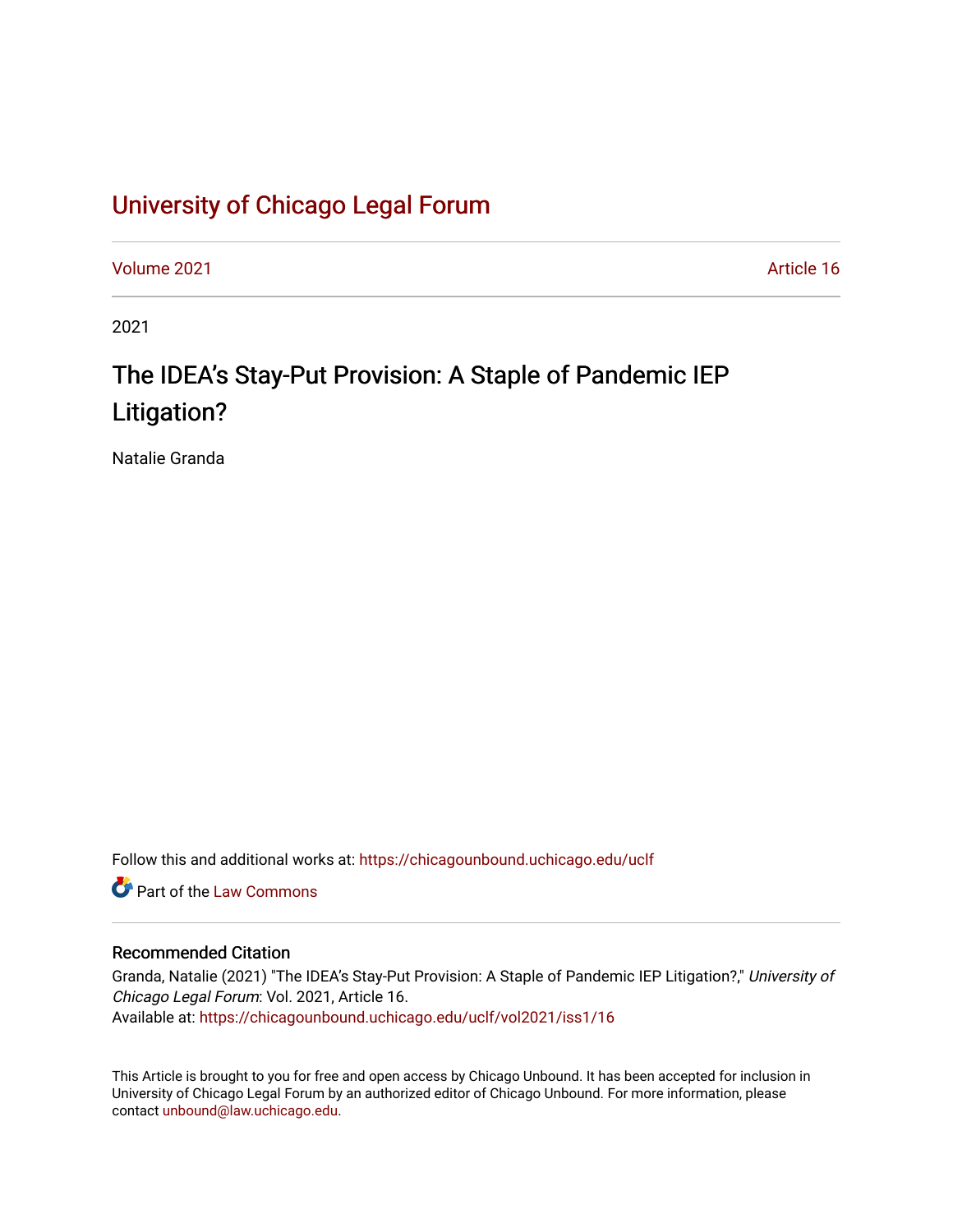## [University of Chicago Legal Forum](https://chicagounbound.uchicago.edu/uclf)

[Volume 2021](https://chicagounbound.uchicago.edu/uclf/vol2021) [Article 16](https://chicagounbound.uchicago.edu/uclf/vol2021/iss1/16) 

2021

# The IDEA's Stay-Put Provision: A Staple of Pandemic IEP Litigation?

Natalie Granda

Follow this and additional works at: [https://chicagounbound.uchicago.edu/uclf](https://chicagounbound.uchicago.edu/uclf?utm_source=chicagounbound.uchicago.edu%2Fuclf%2Fvol2021%2Fiss1%2F16&utm_medium=PDF&utm_campaign=PDFCoverPages) 

**C** Part of the [Law Commons](https://network.bepress.com/hgg/discipline/578?utm_source=chicagounbound.uchicago.edu%2Fuclf%2Fvol2021%2Fiss1%2F16&utm_medium=PDF&utm_campaign=PDFCoverPages)

#### Recommended Citation

Granda, Natalie (2021) "The IDEA's Stay-Put Provision: A Staple of Pandemic IEP Litigation?," University of Chicago Legal Forum: Vol. 2021, Article 16. Available at: [https://chicagounbound.uchicago.edu/uclf/vol2021/iss1/16](https://chicagounbound.uchicago.edu/uclf/vol2021/iss1/16?utm_source=chicagounbound.uchicago.edu%2Fuclf%2Fvol2021%2Fiss1%2F16&utm_medium=PDF&utm_campaign=PDFCoverPages)

This Article is brought to you for free and open access by Chicago Unbound. It has been accepted for inclusion in University of Chicago Legal Forum by an authorized editor of Chicago Unbound. For more information, please contact [unbound@law.uchicago.edu](mailto:unbound@law.uchicago.edu).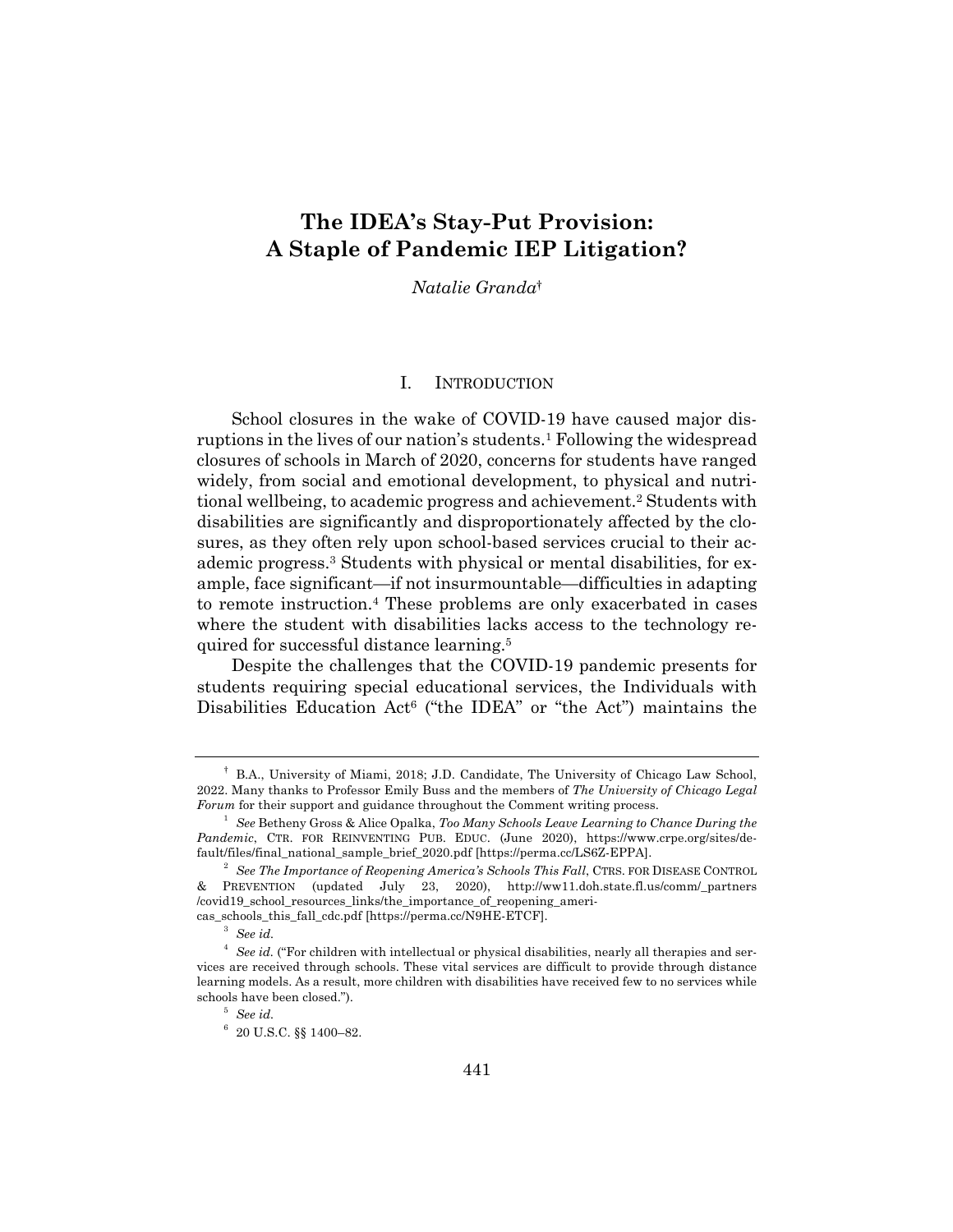### **The IDEA's Stay-Put Provision: A Staple of Pandemic IEP Litigation?**

*Natalie Granda*†

#### I. INTRODUCTION

School closures in the wake of COVID-19 have caused major disruptions in the lives of our nation's students.<sup>1</sup> Following the widespread closures of schools in March of 2020, concerns for students have ranged widely, from social and emotional development, to physical and nutritional wellbeing, to academic progress and achievement.2 Students with disabilities are significantly and disproportionately affected by the closures, as they often rely upon school-based services crucial to their academic progress.3 Students with physical or mental disabilities, for example, face significant—if not insurmountable—difficulties in adapting to remote instruction.4 These problems are only exacerbated in cases where the student with disabilities lacks access to the technology required for successful distance learning.5

Despite the challenges that the COVID-19 pandemic presents for students requiring special educational services, the Individuals with Disabilities Education Act<sup>6</sup> ("the IDEA" or "the Act") maintains the

<sup>†</sup> B.A., University of Miami, 2018; J.D. Candidate, The University of Chicago Law School, 2022. Many thanks to Professor Emily Buss and the members of *The University of Chicago Legal Forum* for their support and guidance throughout the Comment writing process.

<sup>1</sup> *See* Betheny Gross & Alice Opalka, *Too Many Schools Leave Learning to Chance During the Pandemic*, CTR. FOR REINVENTING PUB. EDUC. (June 2020), https://www.crpe.org/sites/default/files/final\_national\_sample\_brief\_2020.pdf [https://perma.cc/LS6Z-EPPA].

<sup>2</sup> *See The Importance of Reopening America's Schools This Fall*, CTRS. FOR DISEASE CONTROL & PREVENTION (updated July 23, 2020), http://ww11.doh.state.fl.us/comm/\_partners /covid19\_school\_resources\_links/the\_importance\_of\_reopening\_americas\_schools\_this\_fall\_cdc.pdf [https://perma.cc/N9HE-ETCF].

<sup>3</sup> *See id.*

<sup>4</sup> *See id.* ("For children with intellectual or physical disabilities, nearly all therapies and services are received through schools. These vital services are difficult to provide through distance learning models. As a result, more children with disabilities have received few to no services while schools have been closed.").

<sup>5</sup> *See id.*

 $6$  20 U.S.C. §§ 1400-82.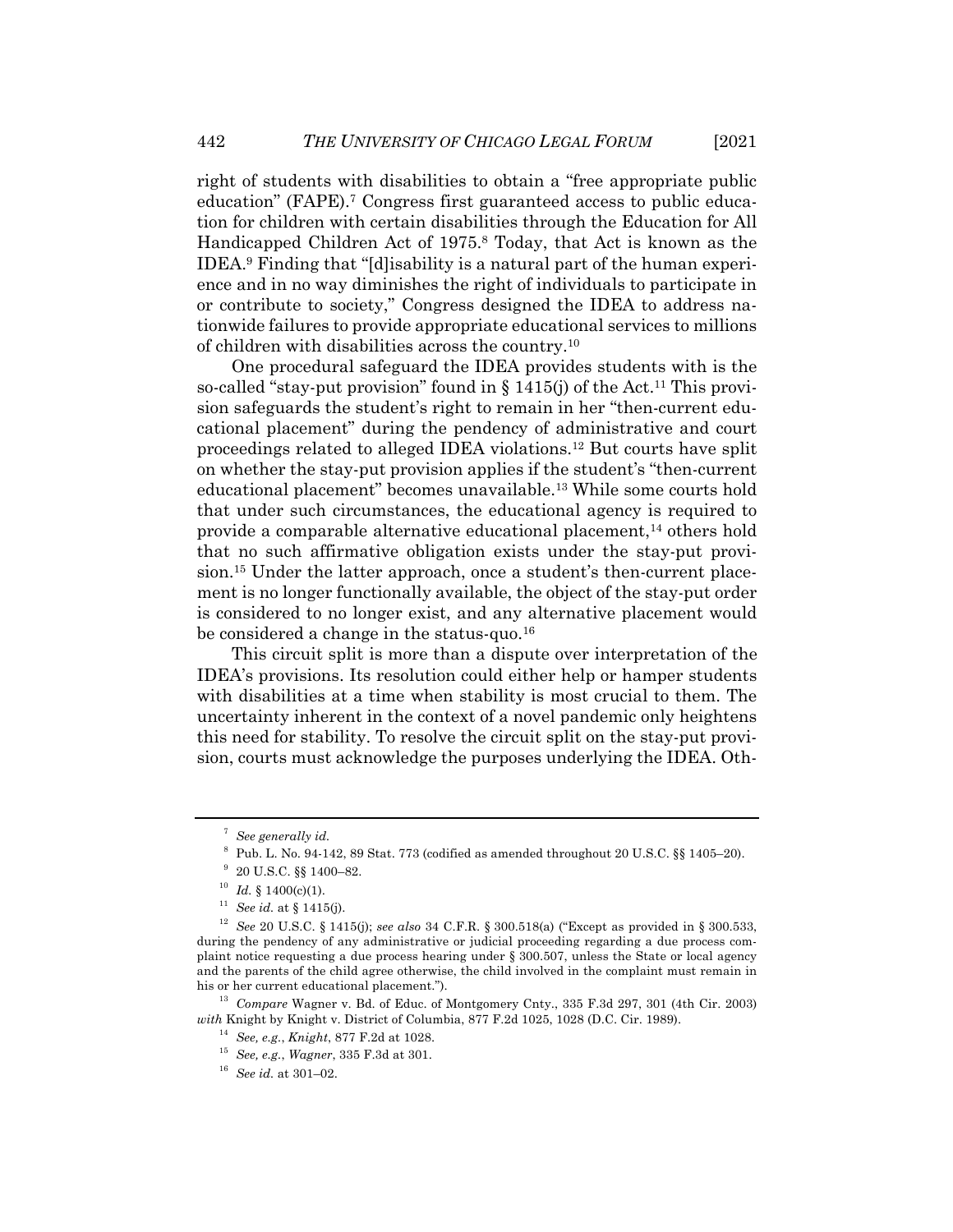right of students with disabilities to obtain a "free appropriate public education" (FAPE).<sup>7</sup> Congress first guaranteed access to public education for children with certain disabilities through the Education for All Handicapped Children Act of 1975.8 Today, that Act is known as the IDEA.9 Finding that "[d]isability is a natural part of the human experience and in no way diminishes the right of individuals to participate in or contribute to society," Congress designed the IDEA to address nationwide failures to provide appropriate educational services to millions of children with disabilities across the country.10

One procedural safeguard the IDEA provides students with is the so-called "stay-put provision" found in  $\S 1415(j)$  of the Act.<sup>11</sup> This provision safeguards the student's right to remain in her "then-current educational placement" during the pendency of administrative and court proceedings related to alleged IDEA violations.12 But courts have split on whether the stay-put provision applies if the student's "then-current educational placement" becomes unavailable.13 While some courts hold that under such circumstances, the educational agency is required to provide a comparable alternative educational placement,<sup>14</sup> others hold that no such affirmative obligation exists under the stay-put provision.15 Under the latter approach, once a student's then-current placement is no longer functionally available, the object of the stay-put order is considered to no longer exist, and any alternative placement would be considered a change in the status-quo.<sup>16</sup>

This circuit split is more than a dispute over interpretation of the IDEA's provisions. Its resolution could either help or hamper students with disabilities at a time when stability is most crucial to them. The uncertainty inherent in the context of a novel pandemic only heightens this need for stability. To resolve the circuit split on the stay-put provision, courts must acknowledge the purposes underlying the IDEA. Oth-

<sup>13</sup> *Compare* Wagner v. Bd. of Educ. of Montgomery Cnty., 335 F.3d 297, 301 (4th Cir. 2003) *with* Knight by Knight v. District of Columbia, 877 F.2d 1025, 1028 (D.C. Cir. 1989).

<sup>7</sup> *See generally id.*

 $^8\,$  Pub. L. No. 94-142, 89 Stat. 773 (codified as amended throughout 20 U.S.C. §§ 1405–20).

<sup>9</sup> 20 U.S.C. §§ 1400–82.

 $10$  *Id.* § 1400(c)(1).

<sup>11</sup> *See id.* at § 1415(j).

<sup>12</sup> *See* 20 U.S.C. § 1415(j); *see also* 34 C.F.R. § 300.518(a) ("Except as provided in § 300.533, during the pendency of any administrative or judicial proceeding regarding a due process complaint notice requesting a due process hearing under § 300.507, unless the State or local agency and the parents of the child agree otherwise, the child involved in the complaint must remain in his or her current educational placement.").

<sup>14</sup> *See, e.g.*, *Knight*, 877 F.2d at 1028.

<sup>15</sup> *See, e.g.*, *Wagner*, 335 F.3d at 301.

<sup>16</sup> *See id.* at 301–02.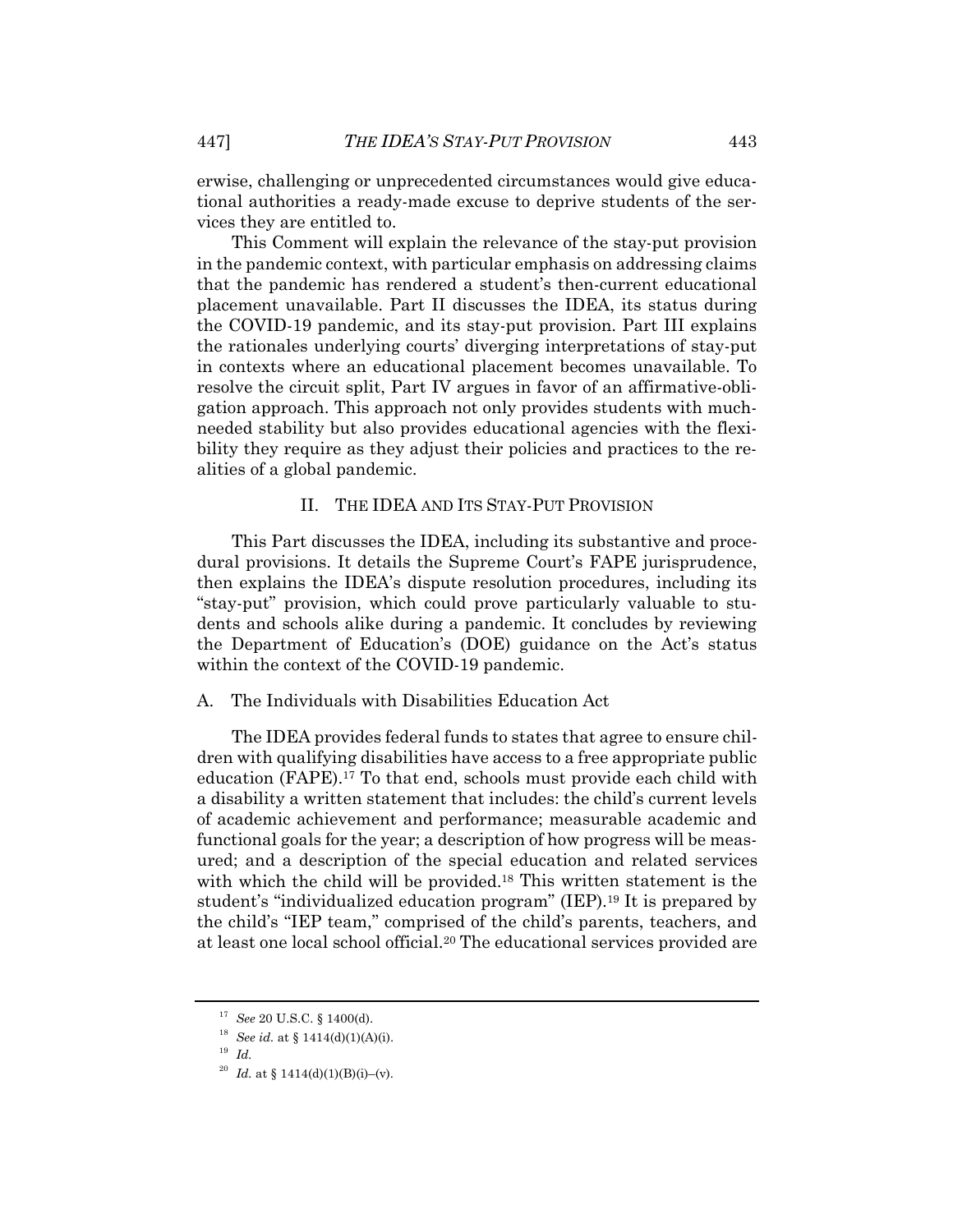erwise, challenging or unprecedented circumstances would give educational authorities a ready-made excuse to deprive students of the services they are entitled to.

This Comment will explain the relevance of the stay-put provision in the pandemic context, with particular emphasis on addressing claims that the pandemic has rendered a student's then-current educational placement unavailable. Part II discusses the IDEA, its status during the COVID-19 pandemic, and its stay-put provision. Part III explains the rationales underlying courts' diverging interpretations of stay-put in contexts where an educational placement becomes unavailable. To resolve the circuit split, Part IV argues in favor of an affirmative-obligation approach. This approach not only provides students with muchneeded stability but also provides educational agencies with the flexibility they require as they adjust their policies and practices to the realities of a global pandemic.

#### II. THE IDEA AND ITS STAY-PUT PROVISION

This Part discusses the IDEA, including its substantive and procedural provisions. It details the Supreme Court's FAPE jurisprudence, then explains the IDEA's dispute resolution procedures, including its "stay-put" provision, which could prove particularly valuable to students and schools alike during a pandemic. It concludes by reviewing the Department of Education's (DOE) guidance on the Act's status within the context of the COVID-19 pandemic.

#### A. The Individuals with Disabilities Education Act

The IDEA provides federal funds to states that agree to ensure children with qualifying disabilities have access to a free appropriate public education (FAPE).17 To that end, schools must provide each child with a disability a written statement that includes: the child's current levels of academic achievement and performance; measurable academic and functional goals for the year; a description of how progress will be measured; and a description of the special education and related services with which the child will be provided.<sup>18</sup> This written statement is the student's "individualized education program" (IEP).19 It is prepared by the child's "IEP team," comprised of the child's parents, teachers, and at least one local school official.20 The educational services provided are

<sup>17</sup> *See* 20 U.S.C. § 1400(d).

<sup>18</sup> *See id.* at § 1414(d)(1)(A)(i).

<sup>19</sup> *Id.*

<sup>&</sup>lt;sup>20</sup> *Id.* at § 1414(d)(1)(B)(i)–(v).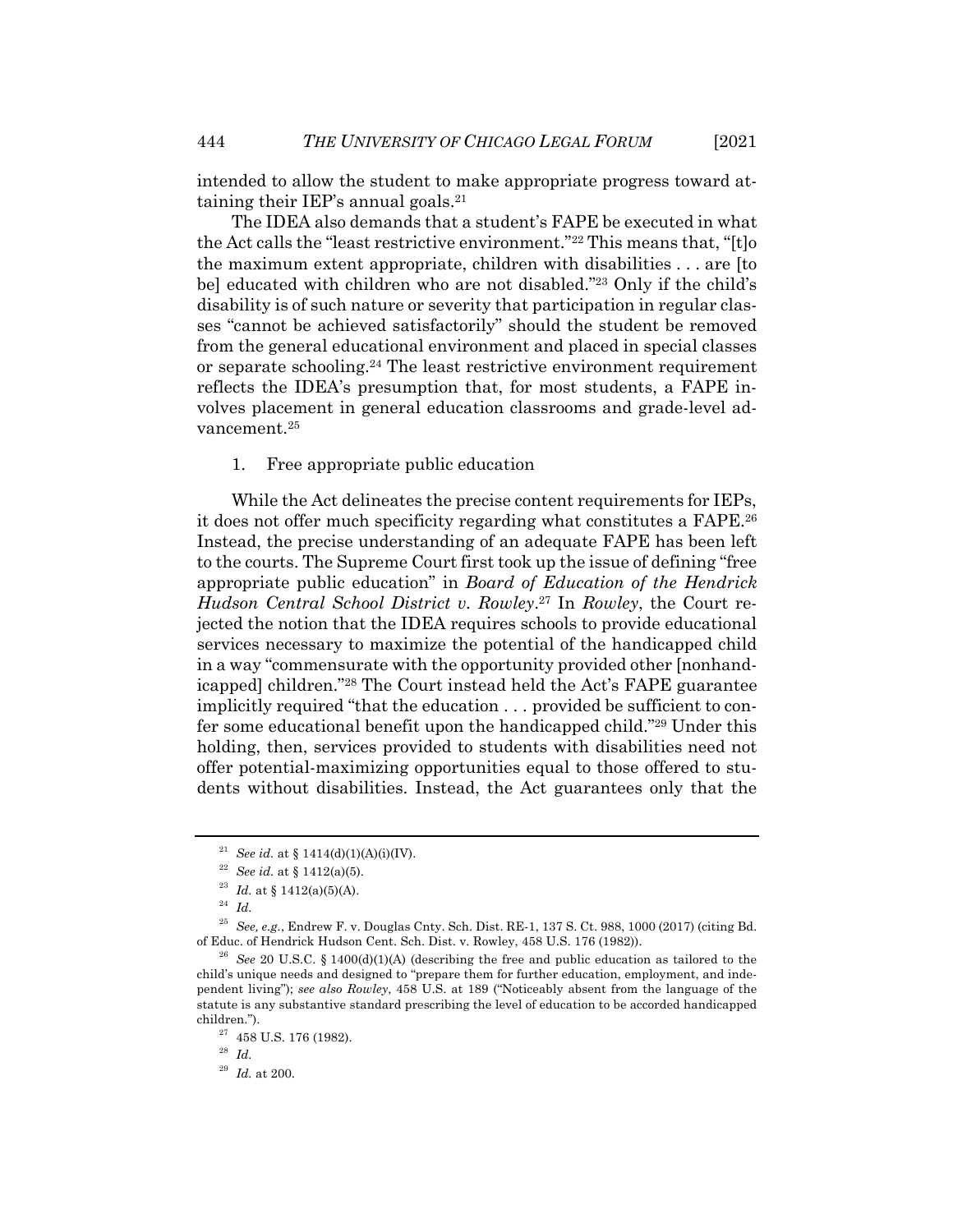intended to allow the student to make appropriate progress toward attaining their IEP's annual goals.21

The IDEA also demands that a student's FAPE be executed in what the Act calls the "least restrictive environment."22 This means that, "[t]o the maximum extent appropriate, children with disabilities . . . are [to be] educated with children who are not disabled."<sup>23</sup> Only if the child's disability is of such nature or severity that participation in regular classes "cannot be achieved satisfactorily" should the student be removed from the general educational environment and placed in special classes or separate schooling.24 The least restrictive environment requirement reflects the IDEA's presumption that, for most students, a FAPE involves placement in general education classrooms and grade-level advancement.<sup>25</sup>

#### 1. Free appropriate public education

While the Act delineates the precise content requirements for IEPs, it does not offer much specificity regarding what constitutes a FAPE.26 Instead, the precise understanding of an adequate FAPE has been left to the courts. The Supreme Court first took up the issue of defining "free appropriate public education" in *Board of Education of the Hendrick Hudson Central School District v. Rowley*. <sup>27</sup> In *Rowley*, the Court rejected the notion that the IDEA requires schools to provide educational services necessary to maximize the potential of the handicapped child in a way "commensurate with the opportunity provided other [nonhandicapped] children."28 The Court instead held the Act's FAPE guarantee implicitly required "that the education . . . provided be sufficient to confer some educational benefit upon the handicapped child."29 Under this holding, then, services provided to students with disabilities need not offer potential-maximizing opportunities equal to those offered to students without disabilities. Instead, the Act guarantees only that the

<sup>28</sup> *Id.*

<sup>29</sup> *Id.* at 200.

<sup>&</sup>lt;sup>21</sup> *See id.* at § 1414(d)(1)(A)(i)(IV).

<sup>22</sup> *See id.* at § 1412(a)(5).

 $^{23}$   $Id.$  at  $\S$  1412(a)(5)(A).

<sup>24</sup> *Id.*

<sup>25</sup> *See, e.g.*, Endrew F. v. Douglas Cnty. Sch. Dist. RE-1, 137 S. Ct. 988, 1000 (2017) (citing Bd. of Educ. of Hendrick Hudson Cent. Sch. Dist. v. Rowley, 458 U.S. 176 (1982)).

<sup>26</sup> *See* 20 U.S.C. § 1400(d)(1)(A) (describing the free and public education as tailored to the child's unique needs and designed to "prepare them for further education, employment, and independent living"); *see also Rowley*, 458 U.S. at 189 ("Noticeably absent from the language of the statute is any substantive standard prescribing the level of education to be accorded handicapped children.").

 $^{27}\,$  458 U.S. 176 (1982).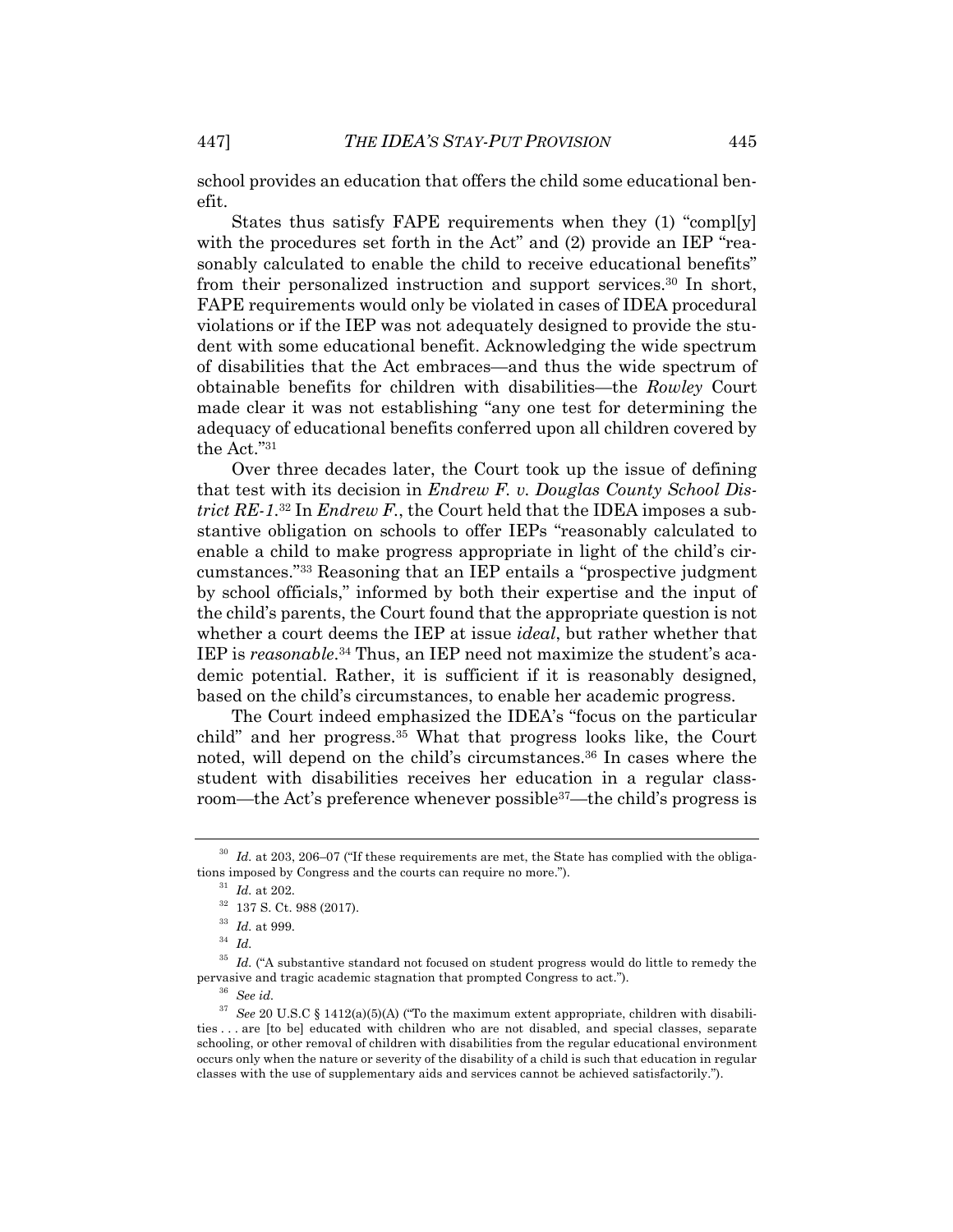school provides an education that offers the child some educational benefit.

States thus satisfy FAPE requirements when they (1) "compl[y] with the procedures set forth in the Act" and (2) provide an IEP "reasonably calculated to enable the child to receive educational benefits" from their personalized instruction and support services.30 In short, FAPE requirements would only be violated in cases of IDEA procedural violations or if the IEP was not adequately designed to provide the student with some educational benefit. Acknowledging the wide spectrum of disabilities that the Act embraces—and thus the wide spectrum of obtainable benefits for children with disabilities—the *Rowley* Court made clear it was not establishing "any one test for determining the adequacy of educational benefits conferred upon all children covered by the Act."31

Over three decades later, the Court took up the issue of defining that test with its decision in *Endrew F. v. Douglas County School District RE-1*. <sup>32</sup> In *Endrew F.*, the Court held that the IDEA imposes a substantive obligation on schools to offer IEPs "reasonably calculated to enable a child to make progress appropriate in light of the child's circumstances."33 Reasoning that an IEP entails a "prospective judgment by school officials," informed by both their expertise and the input of the child's parents, the Court found that the appropriate question is not whether a court deems the IEP at issue *ideal*, but rather whether that IEP is *reasonable*.34 Thus, an IEP need not maximize the student's academic potential. Rather, it is sufficient if it is reasonably designed, based on the child's circumstances, to enable her academic progress.

The Court indeed emphasized the IDEA's "focus on the particular child" and her progress.35 What that progress looks like, the Court noted, will depend on the child's circumstances.36 In cases where the student with disabilities receives her education in a regular classroom—the Act's preference whenever possible<sup>37</sup>—the child's progress is

<sup>30</sup> *Id.* at 203, 206–07 ("If these requirements are met, the State has complied with the obligations imposed by Congress and the courts can require no more.").

 $^{31}\,$   $Id.\,$  at 202.

 $^{32}\,$  137 S. Ct. 988 (2017).

<sup>33</sup> *Id.* at 999.

<sup>34</sup> *Id.*

<sup>&</sup>lt;sup>35</sup> *Id.* ("A substantive standard not focused on student progress would do little to remedy the pervasive and tragic academic stagnation that prompted Congress to act.").

<sup>36</sup> *See id.*

<sup>&</sup>lt;sup>37</sup> See 20 U.S.C § 1412(a)(5)(A) ("To the maximum extent appropriate, children with disabilities . . . are [to be] educated with children who are not disabled, and special classes, separate schooling, or other removal of children with disabilities from the regular educational environment occurs only when the nature or severity of the disability of a child is such that education in regular classes with the use of supplementary aids and services cannot be achieved satisfactorily.").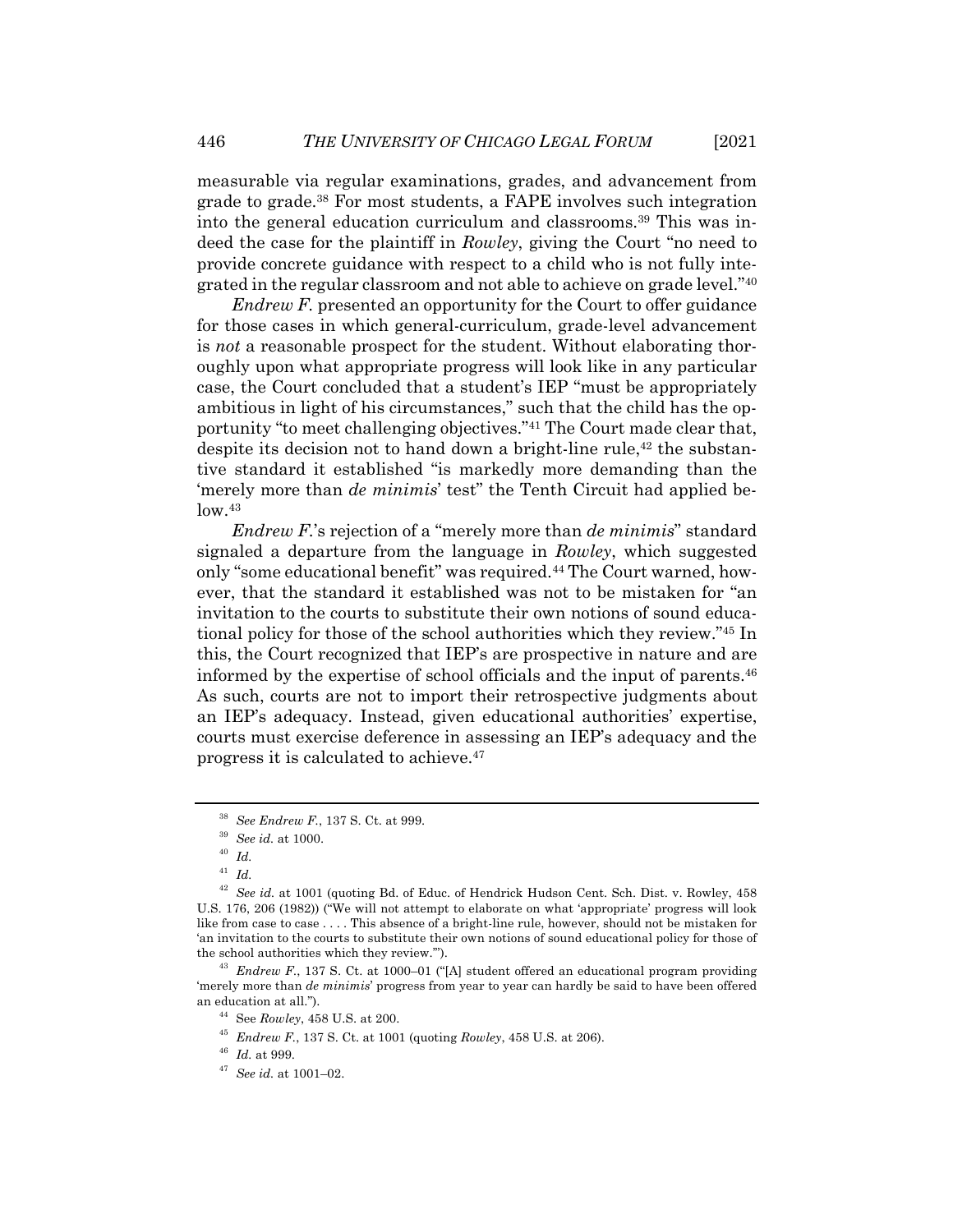measurable via regular examinations, grades, and advancement from grade to grade.38 For most students, a FAPE involves such integration into the general education curriculum and classrooms.39 This was indeed the case for the plaintiff in *Rowley*, giving the Court "no need to provide concrete guidance with respect to a child who is not fully integrated in the regular classroom and not able to achieve on grade level."40

*Endrew F.* presented an opportunity for the Court to offer guidance for those cases in which general-curriculum, grade-level advancement is *not* a reasonable prospect for the student. Without elaborating thoroughly upon what appropriate progress will look like in any particular case, the Court concluded that a student's IEP "must be appropriately ambitious in light of his circumstances," such that the child has the opportunity "to meet challenging objectives."41 The Court made clear that, despite its decision not to hand down a bright-line rule,<sup>42</sup> the substantive standard it established "is markedly more demanding than the 'merely more than *de minimis*' test" the Tenth Circuit had applied be $low.<sup>43</sup>$ 

*Endrew F.*'s rejection of a "merely more than *de minimis*" standard signaled a departure from the language in *Rowley*, which suggested only "some educational benefit" was required.44 The Court warned, however, that the standard it established was not to be mistaken for "an invitation to the courts to substitute their own notions of sound educational policy for those of the school authorities which they review."45 In this, the Court recognized that IEP's are prospective in nature and are informed by the expertise of school officials and the input of parents.46 As such, courts are not to import their retrospective judgments about an IEP's adequacy. Instead, given educational authorities' expertise, courts must exercise deference in assessing an IEP's adequacy and the progress it is calculated to achieve.47

<sup>38</sup> *See Endrew F.*, 137 S. Ct. at 999.

<sup>39</sup> *See id.* at 1000.

<sup>40</sup> *Id.*

<sup>41</sup> *Id.*

<sup>42</sup> *See id.* at 1001 (quoting Bd. of Educ. of Hendrick Hudson Cent. Sch. Dist. v. Rowley, 458 U.S. 176, 206 (1982)) ("We will not attempt to elaborate on what 'appropriate' progress will look like from case to case . . . . This absence of a bright-line rule, however, should not be mistaken for 'an invitation to the courts to substitute their own notions of sound educational policy for those of the school authorities which they review.'").

<sup>43</sup> *Endrew F.*, 137 S. Ct. at 1000–01 ("[A] student offered an educational program providing 'merely more than *de minimis*' progress from year to year can hardly be said to have been offered an education at all.").

<sup>44</sup> See *Rowley*, 458 U.S. at 200.

<sup>45</sup> *Endrew F.*, 137 S. Ct. at 1001 (quoting *Rowley*, 458 U.S. at 206).

<sup>46</sup> *Id.* at 999.

<sup>47</sup> *See id.* at 1001–02.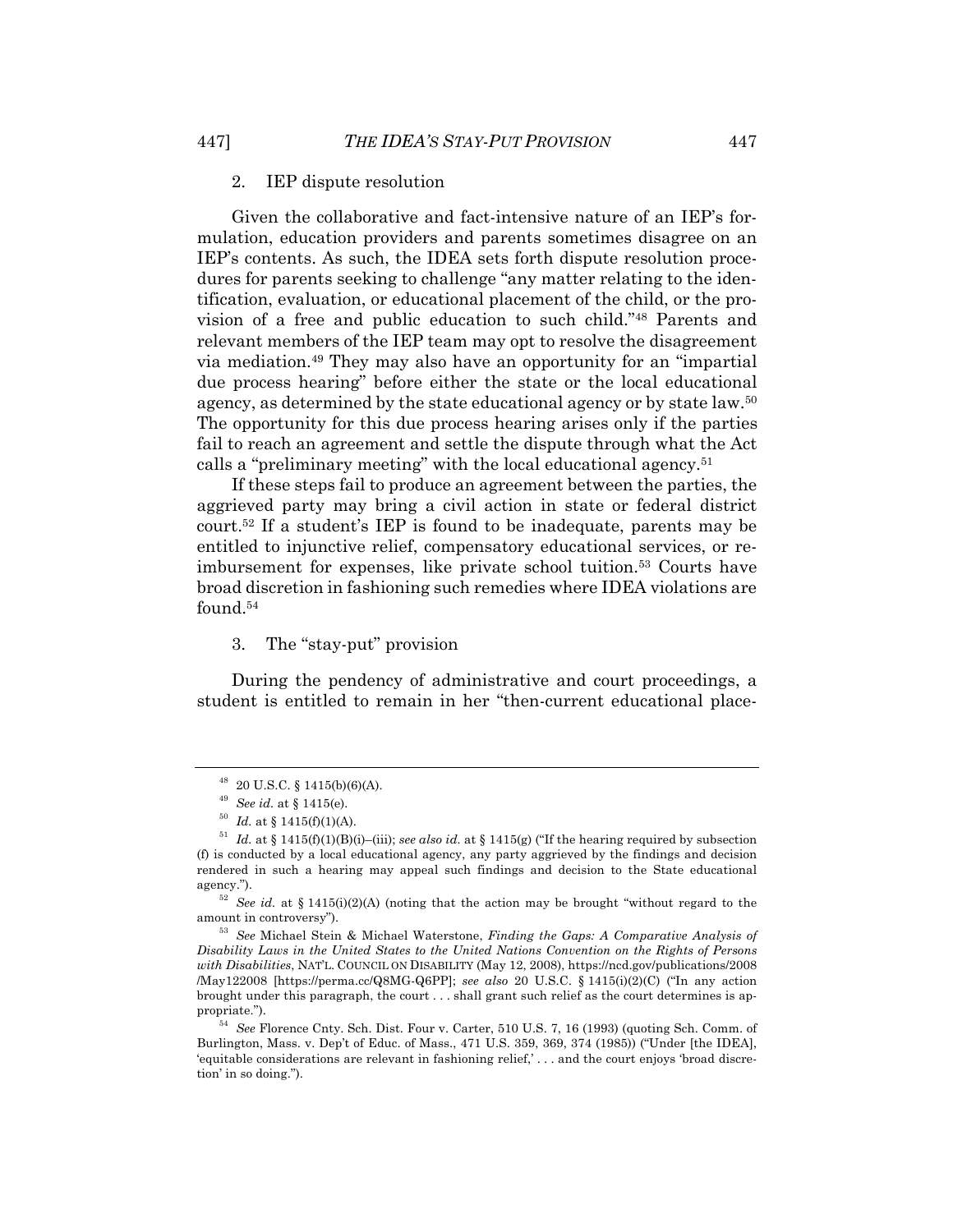#### 2. IEP dispute resolution

Given the collaborative and fact-intensive nature of an IEP's formulation, education providers and parents sometimes disagree on an IEP's contents. As such, the IDEA sets forth dispute resolution procedures for parents seeking to challenge "any matter relating to the identification, evaluation, or educational placement of the child, or the provision of a free and public education to such child."48 Parents and relevant members of the IEP team may opt to resolve the disagreement via mediation.49 They may also have an opportunity for an "impartial due process hearing" before either the state or the local educational agency, as determined by the state educational agency or by state law.50 The opportunity for this due process hearing arises only if the parties fail to reach an agreement and settle the dispute through what the Act calls a "preliminary meeting" with the local educational agency.51

If these steps fail to produce an agreement between the parties, the aggrieved party may bring a civil action in state or federal district court.52 If a student's IEP is found to be inadequate, parents may be entitled to injunctive relief, compensatory educational services, or reimbursement for expenses, like private school tuition.53 Courts have broad discretion in fashioning such remedies where IDEA violations are found.54

3. The "stay-put" provision

During the pendency of administrative and court proceedings, a student is entitled to remain in her "then-current educational place-

 $48$  20 U.S.C. § 1415(b)(6)(A).

<sup>49</sup> *See id.* at § 1415(e).

 $^{50}$  *Id.* at § 1415(f)(1)(A).

<sup>51</sup> *Id.* at § 1415(f)(1)(B)(i)–(iii); *see also id.* at § 1415(g) ("If the hearing required by subsection (f) is conducted by a local educational agency, any party aggrieved by the findings and decision rendered in such a hearing may appeal such findings and decision to the State educational agency.").

<sup>52</sup> *See id.* at § 1415(i)(2)(A) (noting that the action may be brought "without regard to the amount in controversy").

<sup>53</sup> *See* Michael Stein & Michael Waterstone, *Finding the Gaps: A Comparative Analysis of Disability Laws in the United States to the United Nations Convention on the Rights of Persons with Disabilities*, NAT'L. COUNCIL ON DISABILITY (May 12, 2008), https://ncd.gov/publications/2008 /May122008 [https://perma.cc/Q8MG-Q6PP]; *see also* 20 U.S.C. § 1415(i)(2)(C) ("In any action brought under this paragraph, the court . . . shall grant such relief as the court determines is appropriate.").

<sup>54</sup> *See* Florence Cnty. Sch. Dist. Four v. Carter, 510 U.S. 7, 16 (1993) (quoting Sch. Comm. of Burlington, Mass. v. Dep't of Educ. of Mass., 471 U.S. 359, 369, 374 (1985)) ("Under [the IDEA], 'equitable considerations are relevant in fashioning relief,' . . . and the court enjoys 'broad discretion' in so doing.").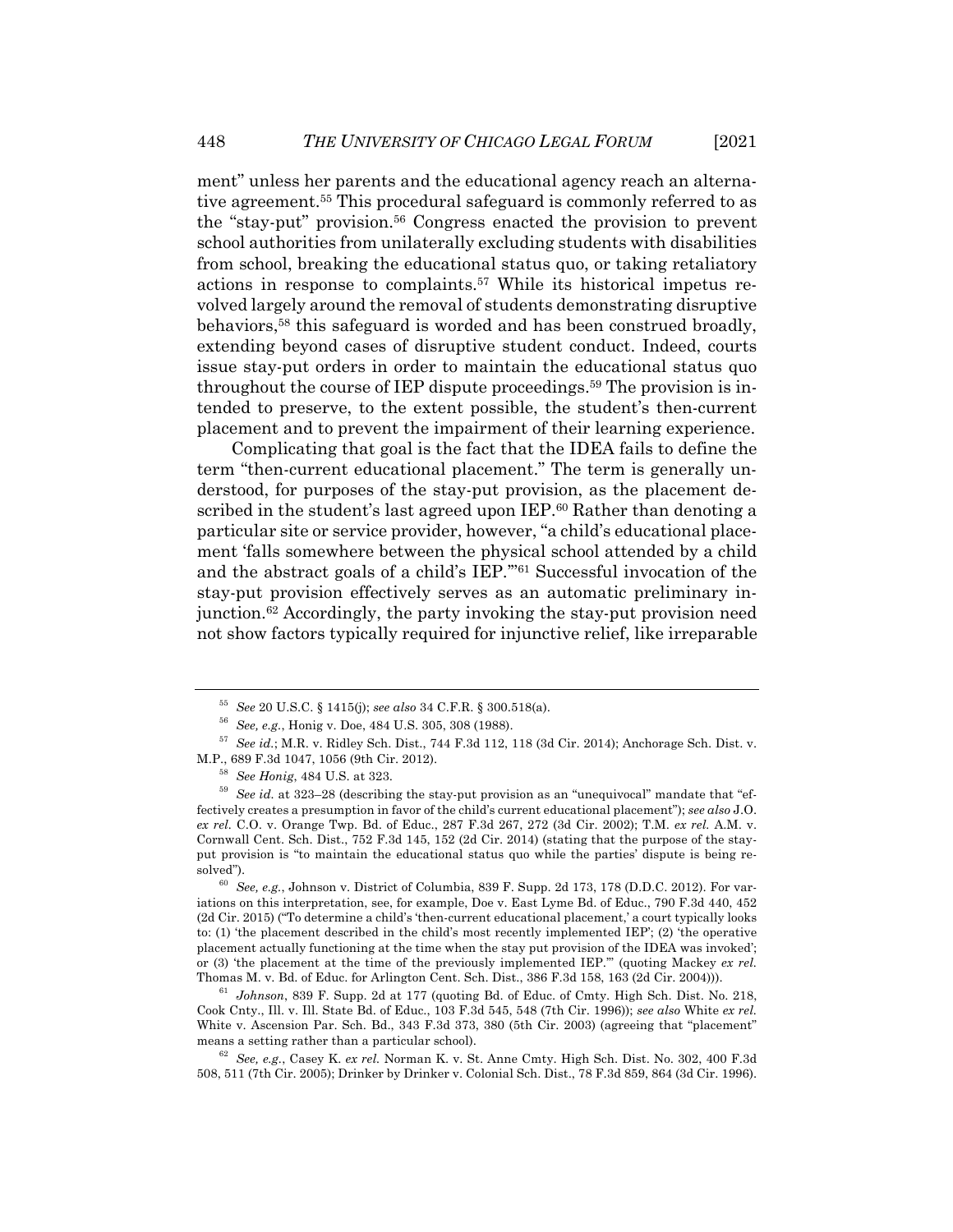ment" unless her parents and the educational agency reach an alternative agreement.55 This procedural safeguard is commonly referred to as the "stay-put" provision.56 Congress enacted the provision to prevent school authorities from unilaterally excluding students with disabilities from school, breaking the educational status quo, or taking retaliatory actions in response to complaints.57 While its historical impetus revolved largely around the removal of students demonstrating disruptive behaviors,58 this safeguard is worded and has been construed broadly, extending beyond cases of disruptive student conduct. Indeed, courts issue stay-put orders in order to maintain the educational status quo throughout the course of IEP dispute proceedings.59 The provision is intended to preserve, to the extent possible, the student's then-current placement and to prevent the impairment of their learning experience.

Complicating that goal is the fact that the IDEA fails to define the term "then-current educational placement." The term is generally understood, for purposes of the stay-put provision, as the placement described in the student's last agreed upon IEP.<sup>60</sup> Rather than denoting a particular site or service provider, however, "a child's educational placement 'falls somewhere between the physical school attended by a child and the abstract goals of a child's IEP.'"61 Successful invocation of the stay-put provision effectively serves as an automatic preliminary injunction.62 Accordingly, the party invoking the stay-put provision need not show factors typically required for injunctive relief, like irreparable

<sup>55</sup> *See* 20 U.S.C. § 1415(j); *see also* 34 C.F.R. § 300.518(a).

<sup>56</sup> *See, e.g.*, Honig v. Doe, 484 U.S. 305, 308 (1988).

<sup>57</sup> *See id.*; M.R. v. Ridley Sch. Dist., 744 F.3d 112, 118 (3d Cir. 2014); Anchorage Sch. Dist. v. M.P., 689 F.3d 1047, 1056 (9th Cir. 2012).

<sup>58</sup> *See Honig*, 484 U.S. at 323.

<sup>59</sup> *See id.* at 323–28 (describing the stay-put provision as an "unequivocal" mandate that "effectively creates a presumption in favor of the child's current educational placement"); *see also* J.O. *ex rel.* C.O. v. Orange Twp. Bd. of Educ., 287 F.3d 267, 272 (3d Cir. 2002); T.M. *ex rel.* A.M. v. Cornwall Cent. Sch. Dist., 752 F.3d 145, 152 (2d Cir. 2014) (stating that the purpose of the stayput provision is "to maintain the educational status quo while the parties' dispute is being resolved").

<sup>60</sup> *See, e.g.*, Johnson v. District of Columbia, 839 F. Supp. 2d 173, 178 (D.D.C. 2012). For variations on this interpretation, see, for example, Doe v. East Lyme Bd. of Educ., 790 F.3d 440, 452 (2d Cir. 2015) ("To determine a child's 'then-current educational placement,' a court typically looks to: (1) 'the placement described in the child's most recently implemented IEP'; (2) 'the operative placement actually functioning at the time when the stay put provision of the IDEA was invoked'; or (3) 'the placement at the time of the previously implemented IEP.'" (quoting Mackey *ex rel.* Thomas M. v. Bd. of Educ. for Arlington Cent. Sch. Dist., 386 F.3d 158, 163 (2d Cir. 2004))).

<sup>61</sup> *Johnson*, 839 F. Supp. 2d at 177 (quoting Bd. of Educ. of Cmty. High Sch. Dist. No. 218, Cook Cnty., Ill. v. Ill. State Bd. of Educ., 103 F.3d 545, 548 (7th Cir. 1996)); *see also* White *ex rel.* White v. Ascension Par. Sch. Bd., 343 F.3d 373, 380 (5th Cir. 2003) (agreeing that "placement" means a setting rather than a particular school).

<sup>62</sup> *See, e.g.*, Casey K. *ex rel.* Norman K. v. St. Anne Cmty. High Sch. Dist. No. 302, 400 F.3d 508, 511 (7th Cir. 2005); Drinker by Drinker v. Colonial Sch. Dist., 78 F.3d 859, 864 (3d Cir. 1996).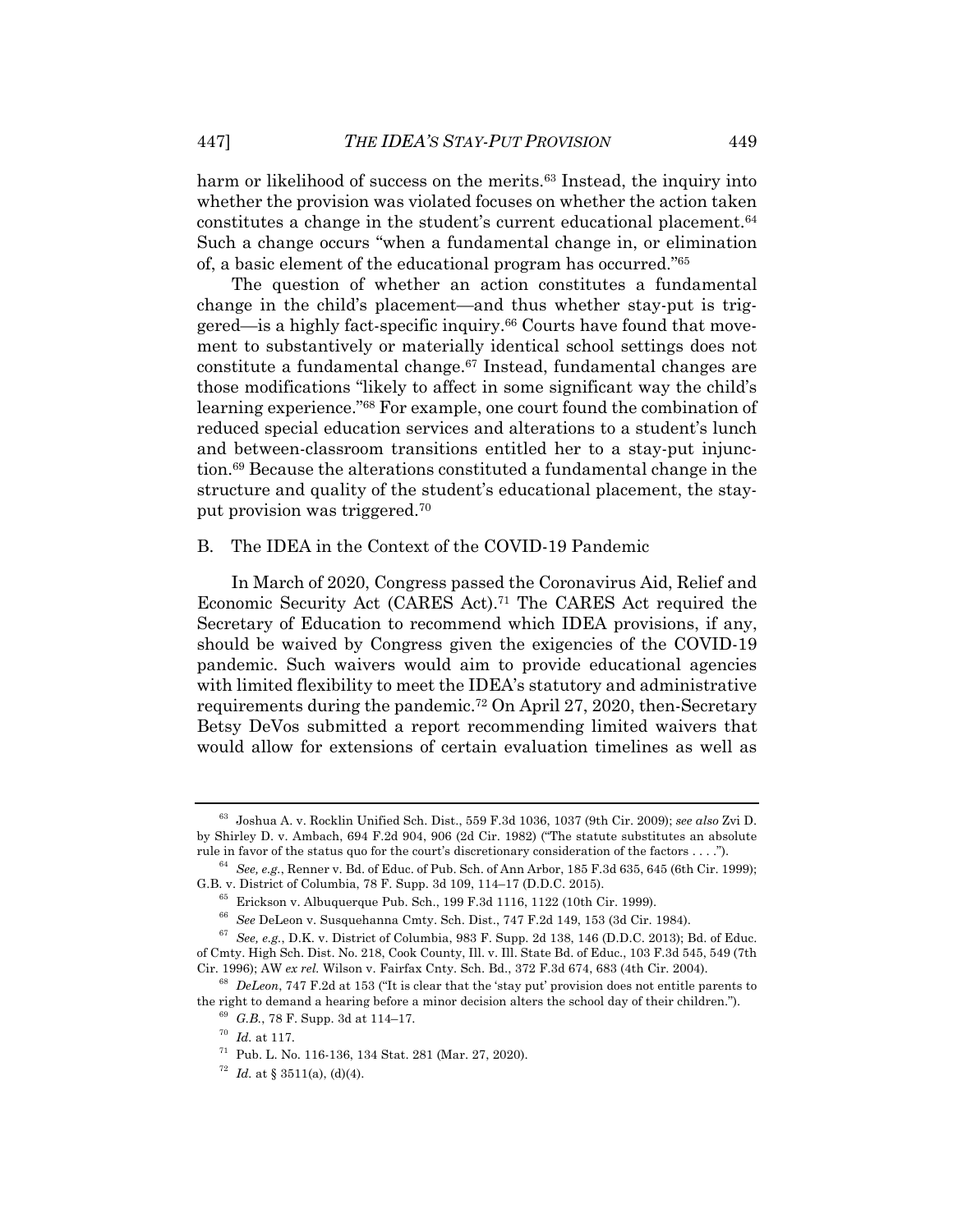harm or likelihood of success on the merits.<sup>63</sup> Instead, the inquiry into whether the provision was violated focuses on whether the action taken constitutes a change in the student's current educational placement.64 Such a change occurs "when a fundamental change in, or elimination of, a basic element of the educational program has occurred."65

The question of whether an action constitutes a fundamental change in the child's placement—and thus whether stay-put is triggered—is a highly fact-specific inquiry.<sup>66</sup> Courts have found that movement to substantively or materially identical school settings does not constitute a fundamental change.67 Instead, fundamental changes are those modifications "likely to affect in some significant way the child's learning experience."68 For example, one court found the combination of reduced special education services and alterations to a student's lunch and between-classroom transitions entitled her to a stay-put injunction.69 Because the alterations constituted a fundamental change in the structure and quality of the student's educational placement, the stayput provision was triggered.70

#### B. The IDEA in the Context of the COVID-19 Pandemic

In March of 2020, Congress passed the Coronavirus Aid, Relief and Economic Security Act (CARES Act).71 The CARES Act required the Secretary of Education to recommend which IDEA provisions, if any, should be waived by Congress given the exigencies of the COVID-19 pandemic. Such waivers would aim to provide educational agencies with limited flexibility to meet the IDEA's statutory and administrative requirements during the pandemic.72 On April 27, 2020, then-Secretary Betsy DeVos submitted a report recommending limited waivers that would allow for extensions of certain evaluation timelines as well as

<sup>63</sup> Joshua A. v. Rocklin Unified Sch. Dist., 559 F.3d 1036, 1037 (9th Cir. 2009); *see also* Zvi D. by Shirley D. v. Ambach, 694 F.2d 904, 906 (2d Cir. 1982) ("The statute substitutes an absolute rule in favor of the status quo for the court's discretionary consideration of the factors . . . .").

<sup>64</sup> *See, e.g.*, Renner v. Bd. of Educ. of Pub. Sch. of Ann Arbor, 185 F.3d 635, 645 (6th Cir. 1999); G.B. v. District of Columbia, 78 F. Supp. 3d 109, 114–17 (D.D.C. 2015).

<sup>65</sup> Erickson v. Albuquerque Pub. Sch., 199 F.3d 1116, 1122 (10th Cir. 1999).

<sup>66</sup> *See* DeLeon v. Susquehanna Cmty. Sch. Dist., 747 F.2d 149, 153 (3d Cir. 1984).

<sup>67</sup> *See, e.g.*, D.K. v. District of Columbia, 983 F. Supp. 2d 138, 146 (D.D.C. 2013); Bd. of Educ. of Cmty. High Sch. Dist. No. 218, Cook County, Ill. v. Ill. State Bd. of Educ., 103 F.3d 545, 549 (7th Cir. 1996); AW *ex rel.* Wilson v. Fairfax Cnty. Sch. Bd., 372 F.3d 674, 683 (4th Cir. 2004).

<sup>68</sup> *DeLeon*, 747 F.2d at 153 ("It is clear that the 'stay put' provision does not entitle parents to the right to demand a hearing before a minor decision alters the school day of their children.").

<sup>69</sup> *G.B.*, 78 F. Supp. 3d at 114–17.

<sup>70</sup> *Id.* at 117.

<sup>71</sup> Pub. L. No. 116-136, 134 Stat. 281 (Mar. 27, 2020).

<sup>&</sup>lt;sup>72</sup> *Id.* at § 3511(a), (d)(4).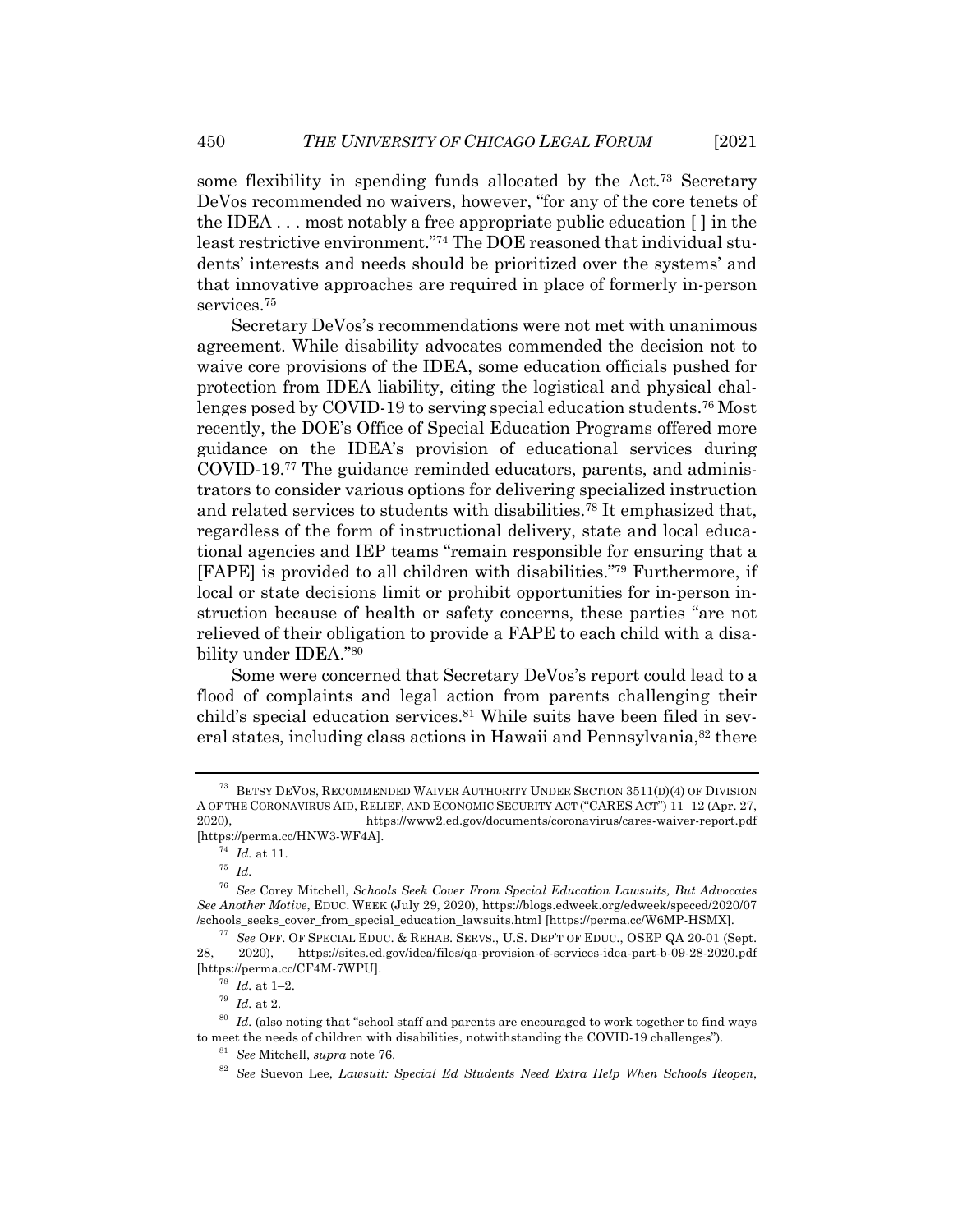some flexibility in spending funds allocated by the Act.<sup>73</sup> Secretary DeVos recommended no waivers, however, "for any of the core tenets of the IDEA . . . most notably a free appropriate public education [ ] in the least restrictive environment."74 The DOE reasoned that individual students' interests and needs should be prioritized over the systems' and that innovative approaches are required in place of formerly in-person services.75

Secretary DeVos's recommendations were not met with unanimous agreement. While disability advocates commended the decision not to waive core provisions of the IDEA, some education officials pushed for protection from IDEA liability, citing the logistical and physical challenges posed by COVID-19 to serving special education students.76 Most recently, the DOE's Office of Special Education Programs offered more guidance on the IDEA's provision of educational services during COVID-19.77 The guidance reminded educators, parents, and administrators to consider various options for delivering specialized instruction and related services to students with disabilities.78 It emphasized that, regardless of the form of instructional delivery, state and local educational agencies and IEP teams "remain responsible for ensuring that a [FAPE] is provided to all children with disabilities."79 Furthermore, if local or state decisions limit or prohibit opportunities for in-person instruction because of health or safety concerns, these parties "are not relieved of their obligation to provide a FAPE to each child with a disability under IDEA."80

Some were concerned that Secretary DeVos's report could lead to a flood of complaints and legal action from parents challenging their child's special education services.<sup>81</sup> While suits have been filed in several states, including class actions in Hawaii and Pennsylvania,<sup>82</sup> there

<sup>73</sup> BETSY DEVOS, RECOMMENDED WAIVER AUTHORITY UNDER SECTION 3511(D)(4) OF DIVISION A OF THE CORONAVIRUS AID, RELIEF, AND ECONOMIC SECURITY ACT ("CARES ACT") 11–12 (Apr. 27, 2020), https://www2.ed.gov/documents/coronavirus/cares-waiver-report.pdf [https://perma.cc/HNW3-WF4A].

<sup>74</sup> *Id.* at 11.

<sup>75</sup> *Id.*

<sup>76</sup> *See* Corey Mitchell, *Schools Seek Cover From Special Education Lawsuits, But Advocates See Another Motive*, EDUC. WEEK (July 29, 2020), https://blogs.edweek.org/edweek/speced/2020/07 /schools\_seeks\_cover\_from\_special\_education\_lawsuits.html [https://perma.cc/W6MP-HSMX].

<sup>77</sup> *See* OFF. OF SPECIAL EDUC. & REHAB. SERVS., U.S. DEP'T OF EDUC., OSEP QA 20-01 (Sept. 28, 2020), https://sites.ed.gov/idea/files/qa-provision-of-services-idea-part-b-09-28-2020.pdf [https://perma.cc/CF4M-7WPU].

<sup>78</sup> *Id.* at 1–2.

<sup>79</sup> *Id.* at 2.

<sup>80</sup> *Id.* (also noting that "school staff and parents are encouraged to work together to find ways to meet the needs of children with disabilities, notwithstanding the COVID-19 challenges").

<sup>81</sup> *See* Mitchell, *supra* note 76.

<sup>82</sup> *See* Suevon Lee, *Lawsuit: Special Ed Students Need Extra Help When Schools Reopen*,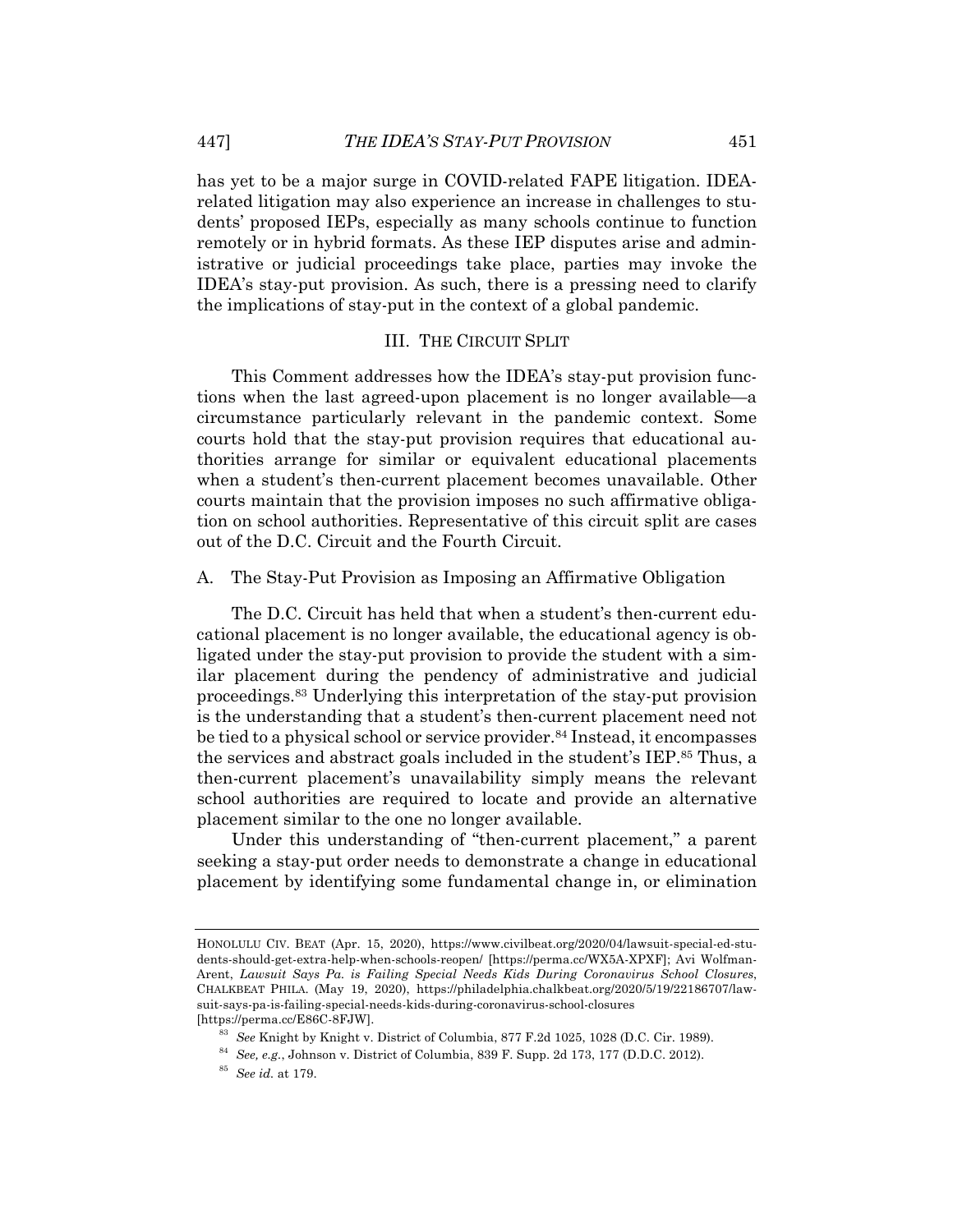has yet to be a major surge in COVID-related FAPE litigation. IDEArelated litigation may also experience an increase in challenges to students' proposed IEPs, especially as many schools continue to function remotely or in hybrid formats. As these IEP disputes arise and administrative or judicial proceedings take place, parties may invoke the IDEA's stay-put provision. As such, there is a pressing need to clarify the implications of stay-put in the context of a global pandemic.

#### III. THE CIRCUIT SPLIT

This Comment addresses how the IDEA's stay-put provision functions when the last agreed-upon placement is no longer available—a circumstance particularly relevant in the pandemic context. Some courts hold that the stay-put provision requires that educational authorities arrange for similar or equivalent educational placements when a student's then-current placement becomes unavailable. Other courts maintain that the provision imposes no such affirmative obligation on school authorities. Representative of this circuit split are cases out of the D.C. Circuit and the Fourth Circuit.

A. The Stay-Put Provision as Imposing an Affirmative Obligation

The D.C. Circuit has held that when a student's then-current educational placement is no longer available, the educational agency is obligated under the stay-put provision to provide the student with a similar placement during the pendency of administrative and judicial proceedings.83 Underlying this interpretation of the stay-put provision is the understanding that a student's then-current placement need not be tied to a physical school or service provider.<sup>84</sup> Instead, it encompasses the services and abstract goals included in the student's IEP.85 Thus, a then-current placement's unavailability simply means the relevant school authorities are required to locate and provide an alternative placement similar to the one no longer available.

Under this understanding of "then-current placement," a parent seeking a stay-put order needs to demonstrate a change in educational placement by identifying some fundamental change in, or elimination

HONOLULU CIV. BEAT (Apr. 15, 2020), https://www.civilbeat.org/2020/04/lawsuit-special-ed-students-should-get-extra-help-when-schools-reopen/ [https://perma.cc/WX5A-XPXF]; Avi Wolfman-Arent, *Lawsuit Says Pa. is Failing Special Needs Kids During Coronavirus School Closures*, CHALKBEAT PHILA. (May 19, 2020), https://philadelphia.chalkbeat.org/2020/5/19/22186707/lawsuit-says-pa-is-failing-special-needs-kids-during-coronavirus-school-closures [https://perma.cc/E86C-8FJW].

<sup>83</sup> *See* Knight by Knight v. District of Columbia, 877 F.2d 1025, 1028 (D.C. Cir. 1989).

<sup>84</sup> *See, e.g.*, Johnson v. District of Columbia, 839 F. Supp. 2d 173, 177 (D.D.C. 2012).

<sup>85</sup> *See id.* at 179.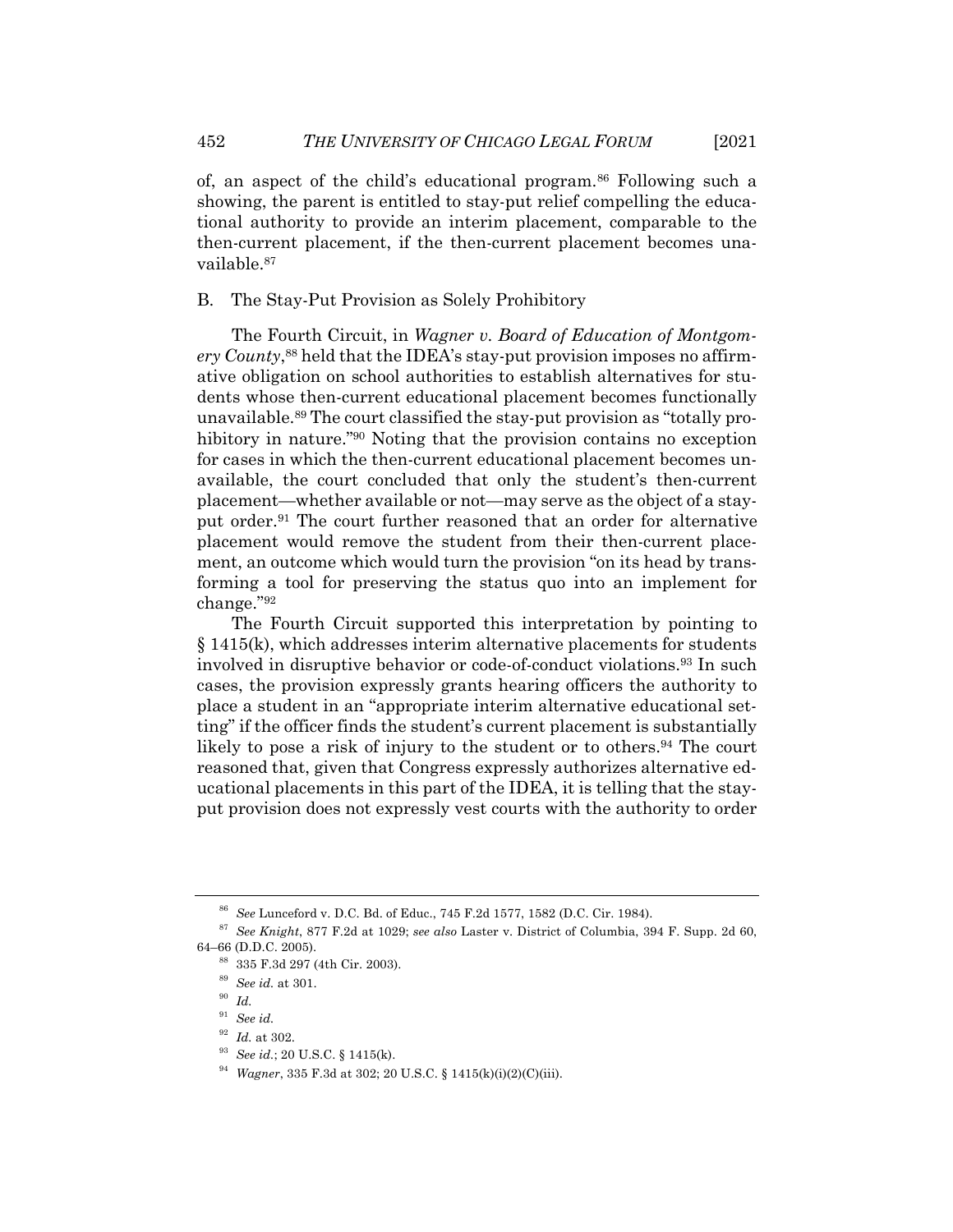of, an aspect of the child's educational program.86 Following such a showing, the parent is entitled to stay-put relief compelling the educational authority to provide an interim placement, comparable to the then-current placement, if the then-current placement becomes unavailable.87

B. The Stay-Put Provision as Solely Prohibitory

The Fourth Circuit, in *Wagner v. Board of Education of Montgomery County*, <sup>88</sup> held that the IDEA's stay-put provision imposes no affirmative obligation on school authorities to establish alternatives for students whose then-current educational placement becomes functionally unavailable.89 The court classified the stay-put provision as "totally prohibitory in nature."<sup>90</sup> Noting that the provision contains no exception for cases in which the then-current educational placement becomes unavailable, the court concluded that only the student's then-current placement—whether available or not—may serve as the object of a stayput order.91 The court further reasoned that an order for alternative placement would remove the student from their then-current placement, an outcome which would turn the provision "on its head by transforming a tool for preserving the status quo into an implement for change."92

The Fourth Circuit supported this interpretation by pointing to § 1415(k), which addresses interim alternative placements for students involved in disruptive behavior or code-of-conduct violations.93 In such cases, the provision expressly grants hearing officers the authority to place a student in an "appropriate interim alternative educational setting" if the officer finds the student's current placement is substantially likely to pose a risk of injury to the student or to others.94 The court reasoned that, given that Congress expressly authorizes alternative educational placements in this part of the IDEA, it is telling that the stayput provision does not expressly vest courts with the authority to order

<sup>86</sup> *See* Lunceford v. D.C. Bd. of Educ., 745 F.2d 1577, 1582 (D.C. Cir. 1984).

<sup>87</sup> *See Knight*, 877 F.2d at 1029; *see also* Laster v. District of Columbia, 394 F. Supp. 2d 60, 64–66 (D.D.C. 2005).

<sup>88</sup> 335 F.3d 297 (4th Cir. 2003).

<sup>89</sup> *See id.* at 301.

<sup>90</sup> *Id.*

<sup>91</sup> *See id.*

<sup>92</sup> *Id.* at 302.

<sup>93</sup> *See id.*; 20 U.S.C. § 1415(k).

<sup>94</sup> *Wagner*, 335 F.3d at 302; 20 U.S.C. § 1415(k)(i)(2)(C)(iii).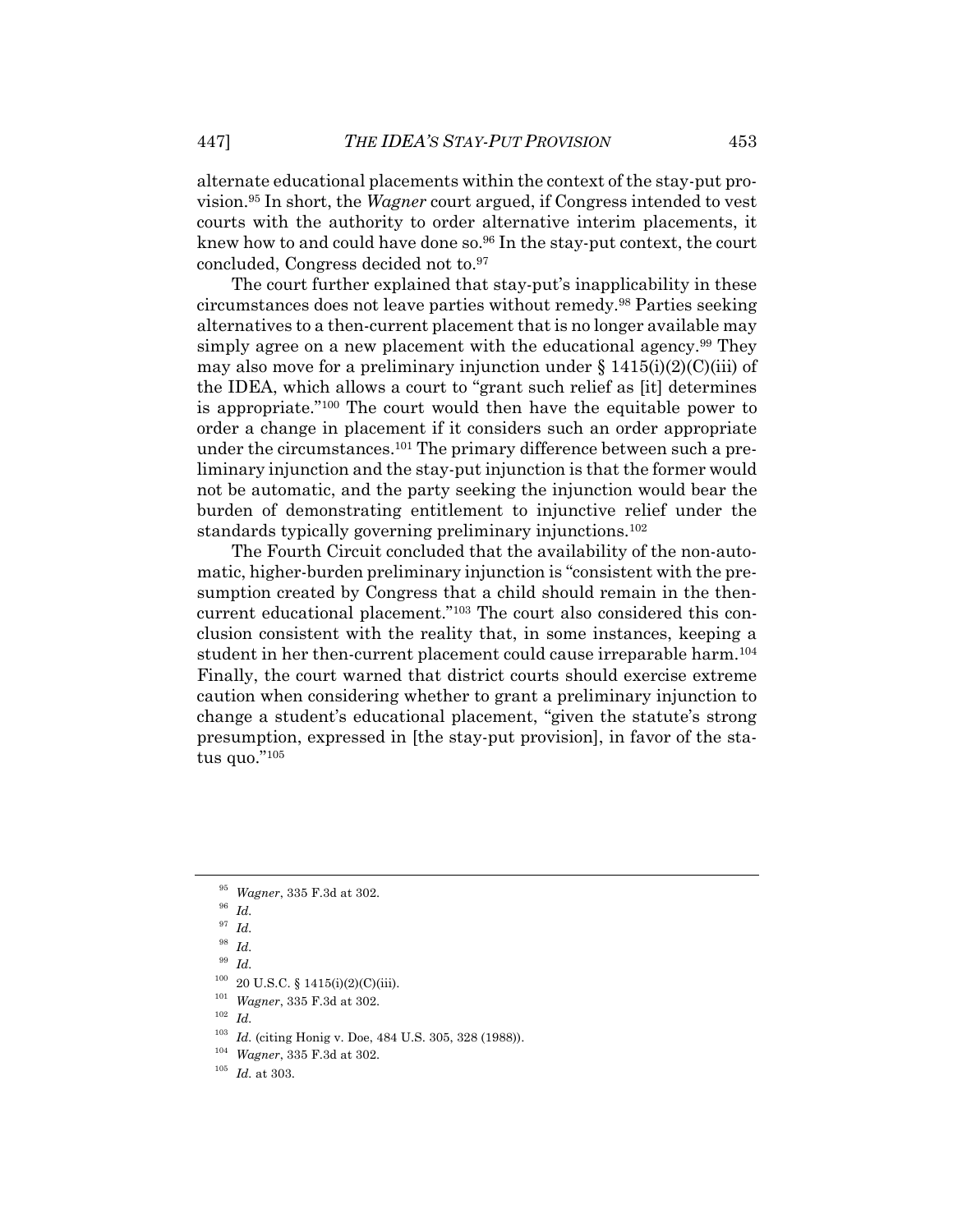alternate educational placements within the context of the stay-put provision.95 In short, the *Wagner* court argued, if Congress intended to vest courts with the authority to order alternative interim placements, it knew how to and could have done so.96 In the stay-put context, the court concluded, Congress decided not to.97

The court further explained that stay-put's inapplicability in these circumstances does not leave parties without remedy.98 Parties seeking alternatives to a then-current placement that is no longer available may simply agree on a new placement with the educational agency.<sup>99</sup> They may also move for a preliminary injunction under  $\S 1415(i)(2)(C(iii)$  of the IDEA, which allows a court to "grant such relief as [it] determines is appropriate."100 The court would then have the equitable power to order a change in placement if it considers such an order appropriate under the circumstances.101 The primary difference between such a preliminary injunction and the stay-put injunction is that the former would not be automatic, and the party seeking the injunction would bear the burden of demonstrating entitlement to injunctive relief under the standards typically governing preliminary injunctions.102

The Fourth Circuit concluded that the availability of the non-automatic, higher-burden preliminary injunction is "consistent with the presumption created by Congress that a child should remain in the thencurrent educational placement."103 The court also considered this conclusion consistent with the reality that, in some instances, keeping a student in her then-current placement could cause irreparable harm.104 Finally, the court warned that district courts should exercise extreme caution when considering whether to grant a preliminary injunction to change a student's educational placement, "given the statute's strong presumption, expressed in [the stay-put provision], in favor of the status quo."105

<sup>95</sup> *Wagner*, 335 F.3d at 302.

<sup>96</sup> *Id.*

<sup>97</sup> *Id.*

<sup>98</sup> *Id.*

<sup>99</sup> *Id.*

 $100$  20 U.S.C. § 1415(i)(2)(C)(iii).

<sup>&</sup>lt;sup>101</sup> *Wagner*, 335 F.3d at 302.<br><sup>102</sup> L.

 $\frac{102}{103}$  *Id.* 

*Id.* (citing Honig v. Doe, 484 U.S. 305, 328 (1988)).

<sup>104</sup> *Wagner*, 335 F.3d at 302.

<sup>105</sup> *Id.* at 303.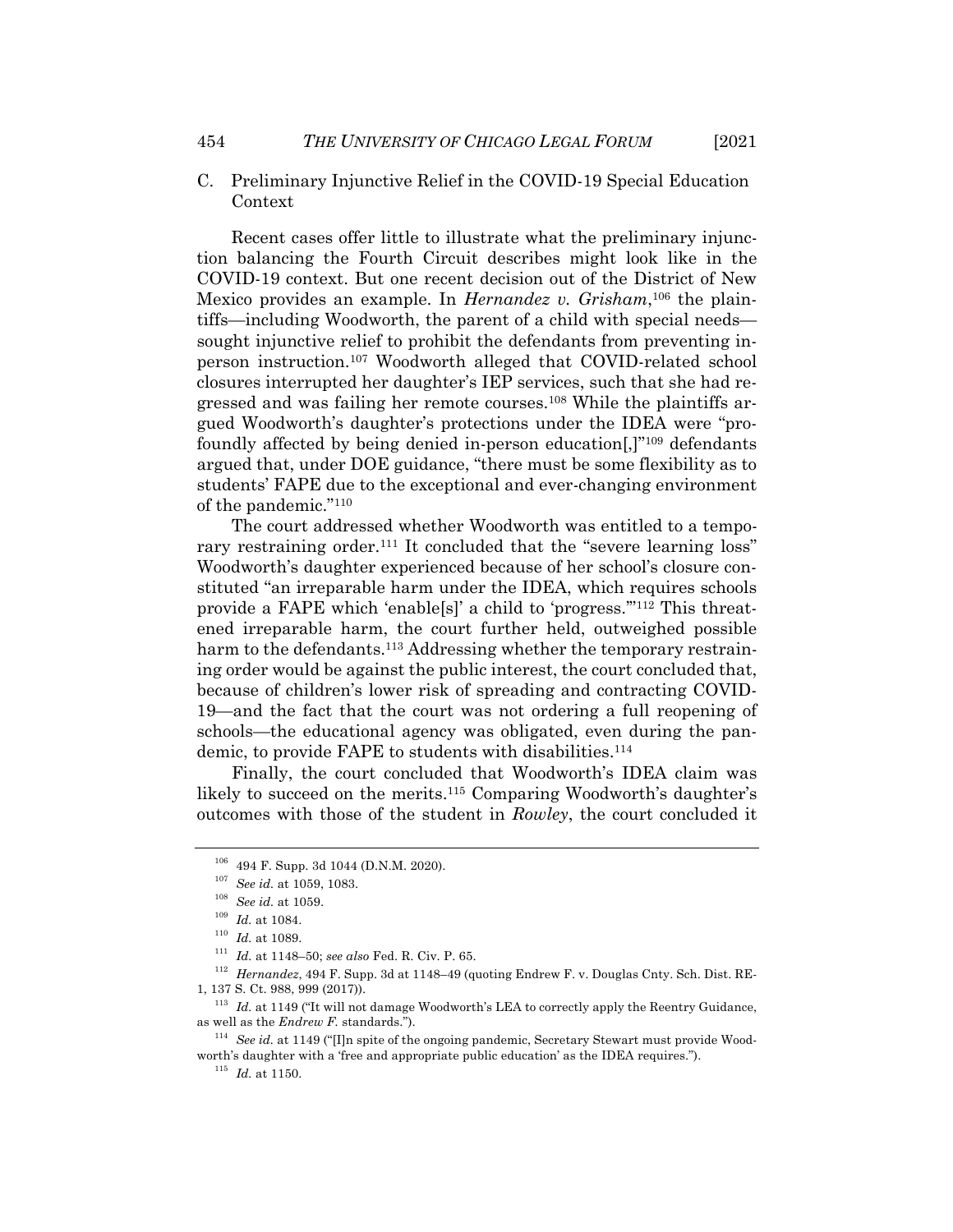C. Preliminary Injunctive Relief in the COVID-19 Special Education Context

Recent cases offer little to illustrate what the preliminary injunction balancing the Fourth Circuit describes might look like in the COVID-19 context. But one recent decision out of the District of New Mexico provides an example. In *Hernandez v. Grisham*, <sup>106</sup> the plaintiffs—including Woodworth, the parent of a child with special needs sought injunctive relief to prohibit the defendants from preventing inperson instruction.107 Woodworth alleged that COVID-related school closures interrupted her daughter's IEP services, such that she had regressed and was failing her remote courses.108 While the plaintiffs argued Woodworth's daughter's protections under the IDEA were "profoundly affected by being denied in-person education[,]"109 defendants argued that, under DOE guidance, "there must be some flexibility as to students' FAPE due to the exceptional and ever-changing environment of the pandemic."110

The court addressed whether Woodworth was entitled to a temporary restraining order.<sup>111</sup> It concluded that the "severe learning loss" Woodworth's daughter experienced because of her school's closure constituted "an irreparable harm under the IDEA, which requires schools provide a FAPE which 'enable[s]' a child to 'progress.'"112 This threatened irreparable harm, the court further held, outweighed possible harm to the defendants.<sup>113</sup> Addressing whether the temporary restraining order would be against the public interest, the court concluded that, because of children's lower risk of spreading and contracting COVID-19—and the fact that the court was not ordering a full reopening of schools—the educational agency was obligated, even during the pandemic, to provide FAPE to students with disabilities.<sup>114</sup>

Finally, the court concluded that Woodworth's IDEA claim was likely to succeed on the merits.115 Comparing Woodworth's daughter's outcomes with those of the student in *Rowley*, the court concluded it

<sup>106</sup> 494 F. Supp. 3d 1044 (D.N.M. 2020).

<sup>107</sup> *See id.* at 1059, 1083.

<sup>108</sup> *See id.* at 1059.

<sup>109</sup> *Id.* at 1084.

 $110$  *Id.* at 1089.

<sup>111</sup> *Id.* at 1148–50; *see also* Fed. R. Civ. P. 65.

<sup>112</sup> *Hernandez*, 494 F. Supp. 3d at 1148–49 (quoting Endrew F. v. Douglas Cnty. Sch. Dist. RE-1, 137 S. Ct. 988, 999 (2017)).

<sup>&</sup>lt;sup>113</sup> *Id.* at 1149 ("It will not damage Woodworth's LEA to correctly apply the Reentry Guidance, as well as the *Endrew F.* standards.").

<sup>114</sup> *See id.* at 1149 ("[I]n spite of the ongoing pandemic, Secretary Stewart must provide Woodworth's daughter with a 'free and appropriate public education' as the IDEA requires.").

 $^{115}\,$   $Id.\,$  at 1150.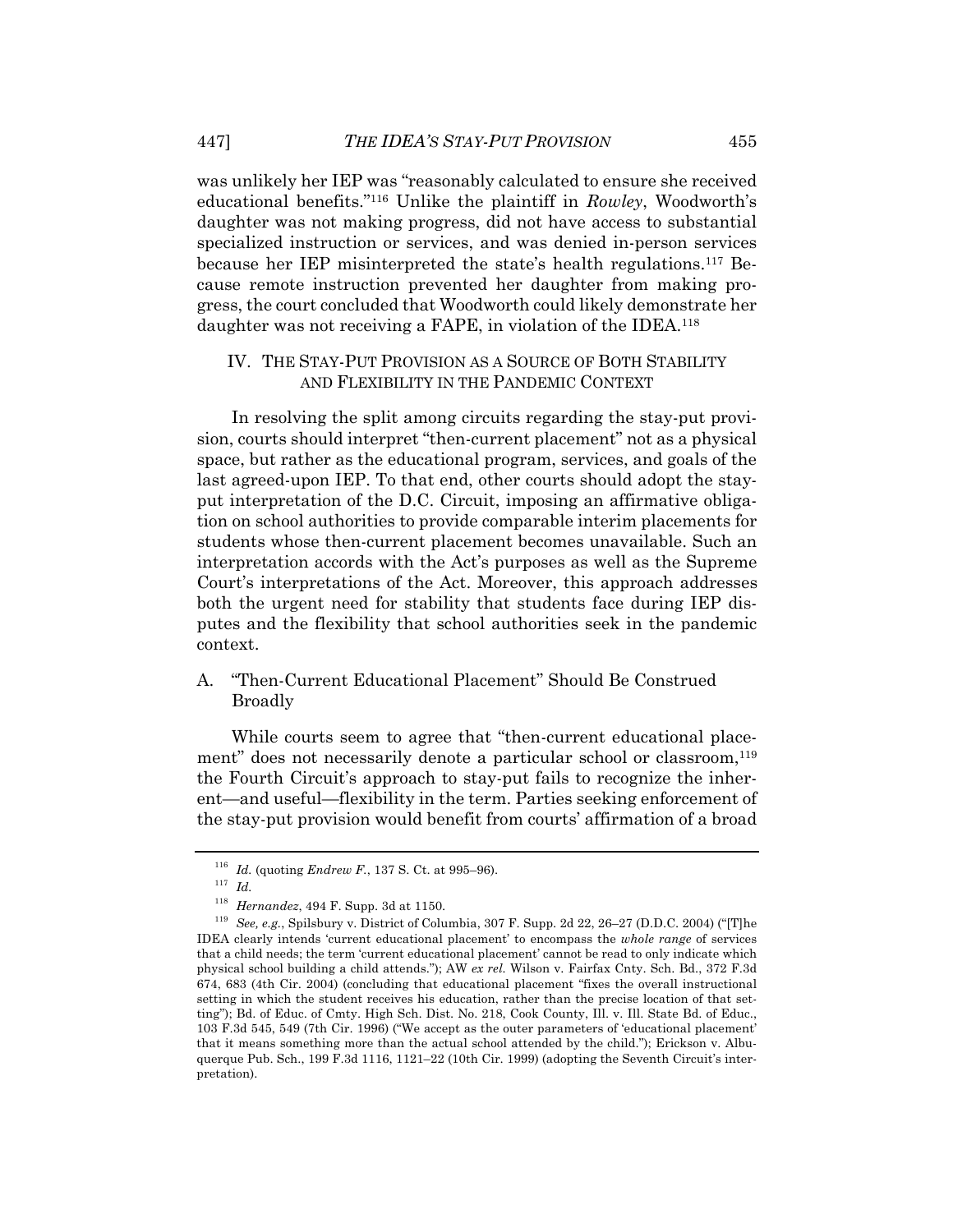was unlikely her IEP was "reasonably calculated to ensure she received educational benefits."116 Unlike the plaintiff in *Rowley*, Woodworth's daughter was not making progress, did not have access to substantial specialized instruction or services, and was denied in-person services because her IEP misinterpreted the state's health regulations.117 Because remote instruction prevented her daughter from making progress, the court concluded that Woodworth could likely demonstrate her daughter was not receiving a FAPE, in violation of the IDEA.<sup>118</sup>

#### IV. THE STAY-PUT PROVISION AS A SOURCE OF BOTH STABILITY AND FLEXIBILITY IN THE PANDEMIC CONTEXT

In resolving the split among circuits regarding the stay-put provision, courts should interpret "then-current placement" not as a physical space, but rather as the educational program, services, and goals of the last agreed-upon IEP. To that end, other courts should adopt the stayput interpretation of the D.C. Circuit, imposing an affirmative obligation on school authorities to provide comparable interim placements for students whose then-current placement becomes unavailable. Such an interpretation accords with the Act's purposes as well as the Supreme Court's interpretations of the Act. Moreover, this approach addresses both the urgent need for stability that students face during IEP disputes and the flexibility that school authorities seek in the pandemic context.

A. "Then-Current Educational Placement" Should Be Construed Broadly

While courts seem to agree that "then-current educational placement" does not necessarily denote a particular school or classroom,<sup>119</sup> the Fourth Circuit's approach to stay-put fails to recognize the inherent—and useful—flexibility in the term. Parties seeking enforcement of the stay-put provision would benefit from courts' affirmation of a broad

<sup>116</sup> *Id.* (quoting *Endrew F.*, 137 S. Ct. at 995–96).

<sup>117</sup> *Id.*

<sup>118</sup> *Hernandez*, 494 F. Supp. 3d at 1150.

<sup>119</sup> *See, e.g.*, Spilsbury v. District of Columbia, 307 F. Supp. 2d 22, 26–27 (D.D.C. 2004) ("[T]he IDEA clearly intends 'current educational placement' to encompass the *whole range* of services that a child needs; the term 'current educational placement' cannot be read to only indicate which physical school building a child attends."); AW *ex rel.* Wilson v. Fairfax Cnty. Sch. Bd., 372 F.3d 674, 683 (4th Cir. 2004) (concluding that educational placement "fixes the overall instructional setting in which the student receives his education, rather than the precise location of that setting"); Bd. of Educ. of Cmty. High Sch. Dist. No. 218, Cook County, Ill. v. Ill. State Bd. of Educ., 103 F.3d 545, 549 (7th Cir. 1996) ("We accept as the outer parameters of 'educational placement' that it means something more than the actual school attended by the child."); Erickson v. Albuquerque Pub. Sch., 199 F.3d 1116, 1121–22 (10th Cir. 1999) (adopting the Seventh Circuit's interpretation).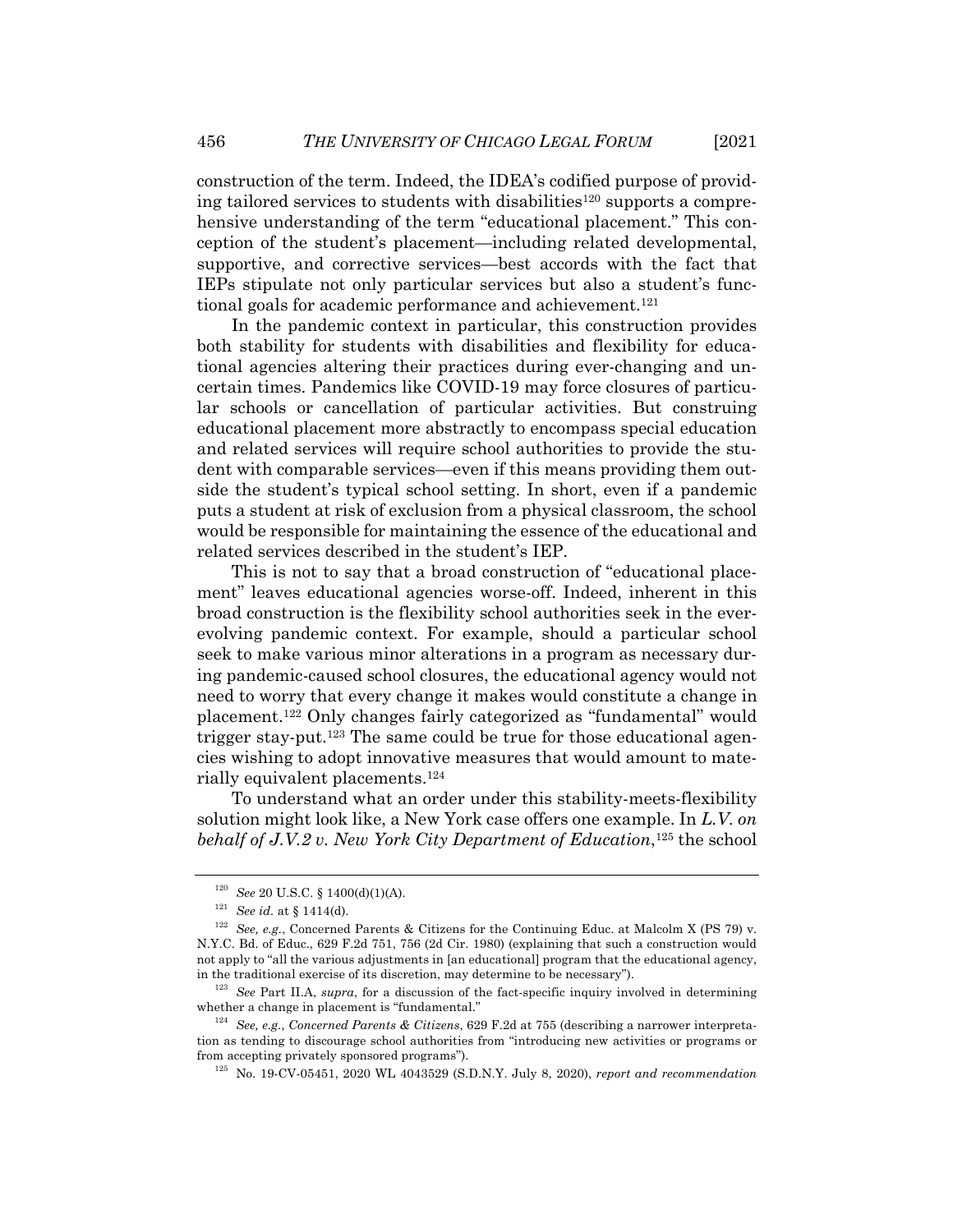construction of the term. Indeed, the IDEA's codified purpose of providing tailored services to students with disabilities<sup>120</sup> supports a comprehensive understanding of the term "educational placement." This conception of the student's placement—including related developmental, supportive, and corrective services—best accords with the fact that IEPs stipulate not only particular services but also a student's functional goals for academic performance and achievement.<sup>121</sup>

In the pandemic context in particular, this construction provides both stability for students with disabilities and flexibility for educational agencies altering their practices during ever-changing and uncertain times. Pandemics like COVID-19 may force closures of particular schools or cancellation of particular activities. But construing educational placement more abstractly to encompass special education and related services will require school authorities to provide the student with comparable services—even if this means providing them outside the student's typical school setting. In short, even if a pandemic puts a student at risk of exclusion from a physical classroom, the school would be responsible for maintaining the essence of the educational and related services described in the student's IEP.

This is not to say that a broad construction of "educational placement" leaves educational agencies worse-off. Indeed, inherent in this broad construction is the flexibility school authorities seek in the everevolving pandemic context. For example, should a particular school seek to make various minor alterations in a program as necessary during pandemic-caused school closures, the educational agency would not need to worry that every change it makes would constitute a change in placement.122 Only changes fairly categorized as "fundamental" would trigger stay-put.123 The same could be true for those educational agencies wishing to adopt innovative measures that would amount to materially equivalent placements.124

To understand what an order under this stability-meets-flexibility solution might look like, a New York case offers one example. In *L.V. on behalf of J.V.2 v. New York City Department of Education*,<sup>125</sup> the school

<sup>120</sup> *See* 20 U.S.C. § 1400(d)(1)(A).

<sup>121</sup> *See id.* at § 1414(d).

<sup>122</sup> *See, e.g.*, Concerned Parents & Citizens for the Continuing Educ. at Malcolm X (PS 79) v. N.Y.C. Bd. of Educ., 629 F.2d 751, 756 (2d Cir. 1980) (explaining that such a construction would not apply to "all the various adjustments in [an educational] program that the educational agency, in the traditional exercise of its discretion, may determine to be necessary").

<sup>123</sup> *See* Part II.A, *supra*, for a discussion of the fact-specific inquiry involved in determining whether a change in placement is "fundamental."

<sup>124</sup> *See, e.g.*, *Concerned Parents & Citizens*, 629 F.2d at 755 (describing a narrower interpretation as tending to discourage school authorities from "introducing new activities or programs or from accepting privately sponsored programs").

<sup>125</sup> No. 19-CV-05451, 2020 WL 4043529 (S.D.N.Y. July 8, 2020), *report and recommendation*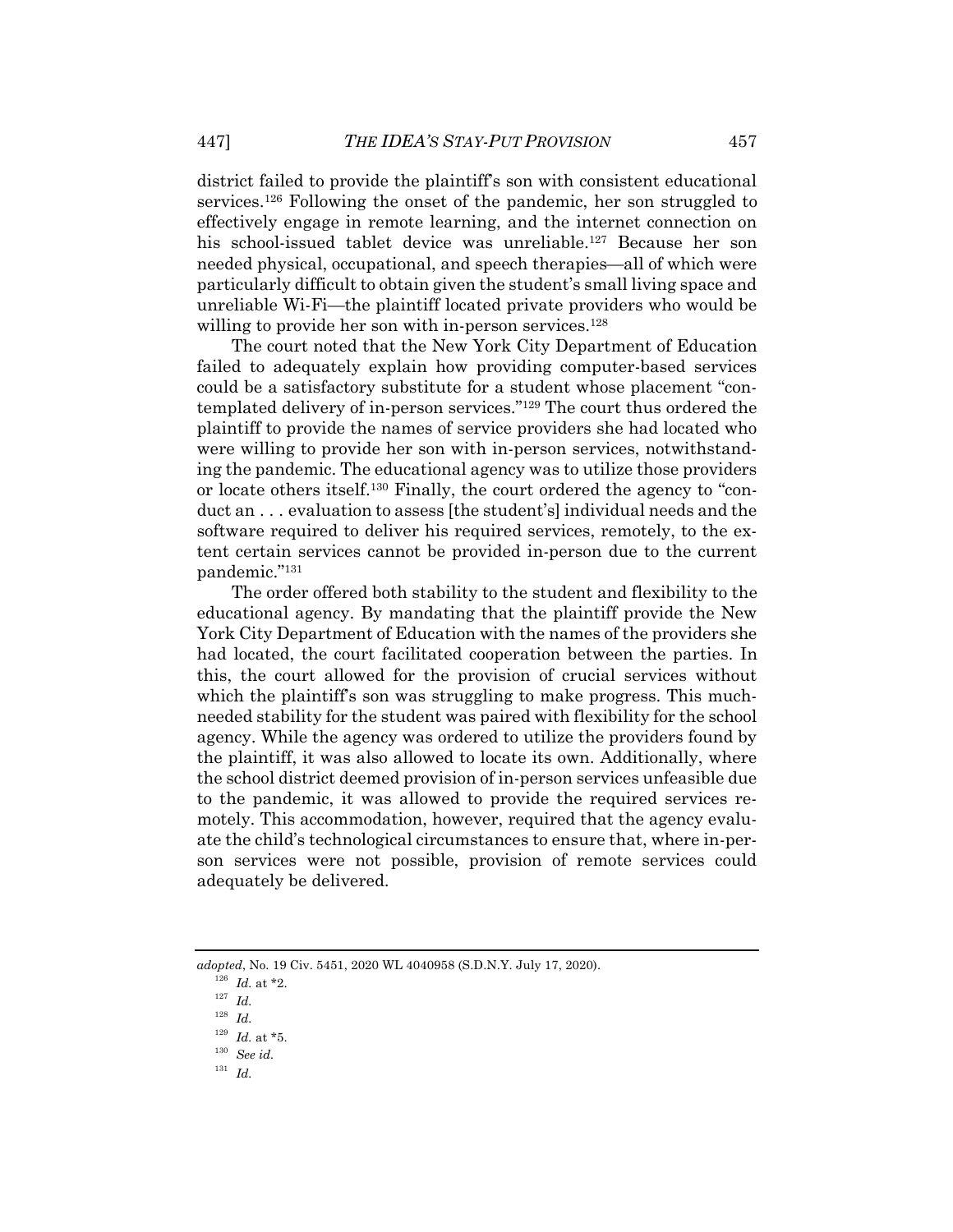district failed to provide the plaintiff's son with consistent educational services.126 Following the onset of the pandemic, her son struggled to effectively engage in remote learning, and the internet connection on his school-issued tablet device was unreliable.127 Because her son needed physical, occupational, and speech therapies—all of which were particularly difficult to obtain given the student's small living space and unreliable Wi-Fi—the plaintiff located private providers who would be willing to provide her son with in-person services.<sup>128</sup>

The court noted that the New York City Department of Education failed to adequately explain how providing computer-based services could be a satisfactory substitute for a student whose placement "contemplated delivery of in-person services."129 The court thus ordered the plaintiff to provide the names of service providers she had located who were willing to provide her son with in-person services, notwithstanding the pandemic. The educational agency was to utilize those providers or locate others itself.130 Finally, the court ordered the agency to "conduct an . . . evaluation to assess [the student's] individual needs and the software required to deliver his required services, remotely, to the extent certain services cannot be provided in-person due to the current pandemic."131

The order offered both stability to the student and flexibility to the educational agency. By mandating that the plaintiff provide the New York City Department of Education with the names of the providers she had located, the court facilitated cooperation between the parties. In this, the court allowed for the provision of crucial services without which the plaintiff's son was struggling to make progress. This muchneeded stability for the student was paired with flexibility for the school agency. While the agency was ordered to utilize the providers found by the plaintiff, it was also allowed to locate its own. Additionally, where the school district deemed provision of in-person services unfeasible due to the pandemic, it was allowed to provide the required services remotely. This accommodation, however, required that the agency evaluate the child's technological circumstances to ensure that, where in-person services were not possible, provision of remote services could adequately be delivered.

*adopted*, No. 19 Civ. 5451, 2020 WL 4040958 (S.D.N.Y. July 17, 2020).

<sup>126</sup> *Id.* at \*2.

<sup>127</sup> *Id.*

<sup>128</sup> *Id.*

 $^{129}$   $\,$   $\!Id.\xspace$  at \*5.

<sup>130</sup> *See id.*

<sup>131</sup> *Id.*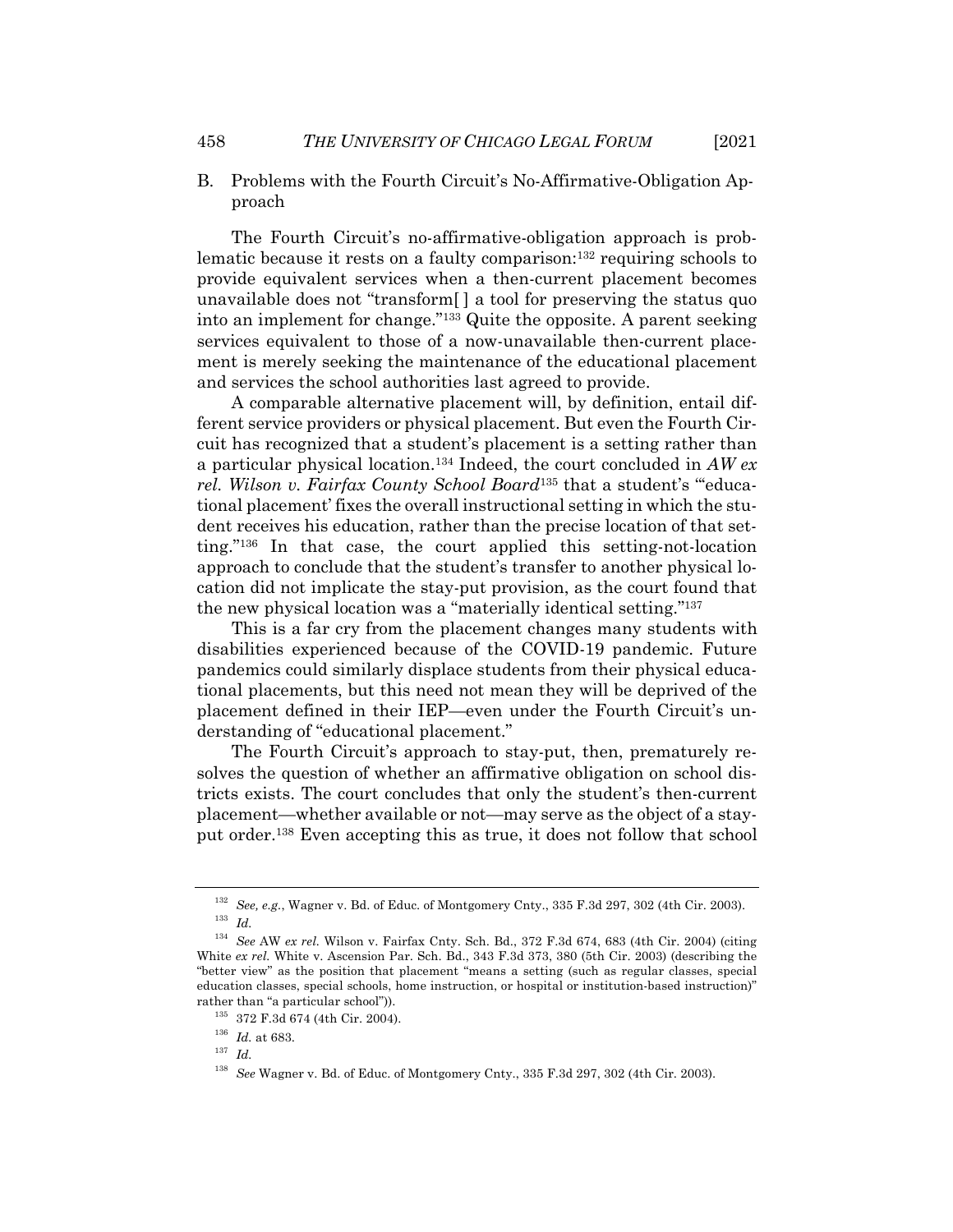- 
- B. Problems with the Fourth Circuit's No-Affirmative-Obligation Approach

The Fourth Circuit's no-affirmative-obligation approach is problematic because it rests on a faulty comparison:132 requiring schools to provide equivalent services when a then-current placement becomes unavailable does not "transform[ ] a tool for preserving the status quo into an implement for change."133 Quite the opposite. A parent seeking services equivalent to those of a now-unavailable then-current placement is merely seeking the maintenance of the educational placement and services the school authorities last agreed to provide.

A comparable alternative placement will, by definition, entail different service providers or physical placement. But even the Fourth Circuit has recognized that a student's placement is a setting rather than a particular physical location.134 Indeed, the court concluded in *AW ex rel. Wilson v. Fairfax County School Board*<sup>135</sup> that a student's "'educational placement' fixes the overall instructional setting in which the student receives his education, rather than the precise location of that setting."136 In that case, the court applied this setting-not-location approach to conclude that the student's transfer to another physical location did not implicate the stay-put provision, as the court found that the new physical location was a "materially identical setting."137

This is a far cry from the placement changes many students with disabilities experienced because of the COVID-19 pandemic. Future pandemics could similarly displace students from their physical educational placements, but this need not mean they will be deprived of the placement defined in their IEP—even under the Fourth Circuit's understanding of "educational placement."

The Fourth Circuit's approach to stay-put, then, prematurely resolves the question of whether an affirmative obligation on school districts exists. The court concludes that only the student's then-current placement—whether available or not—may serve as the object of a stayput order.138 Even accepting this as true, it does not follow that school

<sup>137</sup> *Id.*

<sup>132</sup> *See, e.g.*, Wagner v. Bd. of Educ. of Montgomery Cnty., 335 F.3d 297, 302 (4th Cir. 2003). <sup>133</sup> *Id.*

<sup>134</sup> *See* AW *ex rel.* Wilson v. Fairfax Cnty. Sch. Bd., 372 F.3d 674, 683 (4th Cir. 2004) (citing White ex rel. White v. Ascension Par. Sch. Bd., 343 F.3d 373, 380 (5th Cir. 2003) (describing the "better view" as the position that placement "means a setting (such as regular classes, special education classes, special schools, home instruction, or hospital or institution-based instruction)" rather than "a particular school")).

<sup>135</sup> 372 F.3d 674 (4th Cir. 2004).

 $^{136}\,$   $Id.\,$  at 683.

<sup>138</sup> *See* Wagner v. Bd. of Educ. of Montgomery Cnty., 335 F.3d 297, 302 (4th Cir. 2003).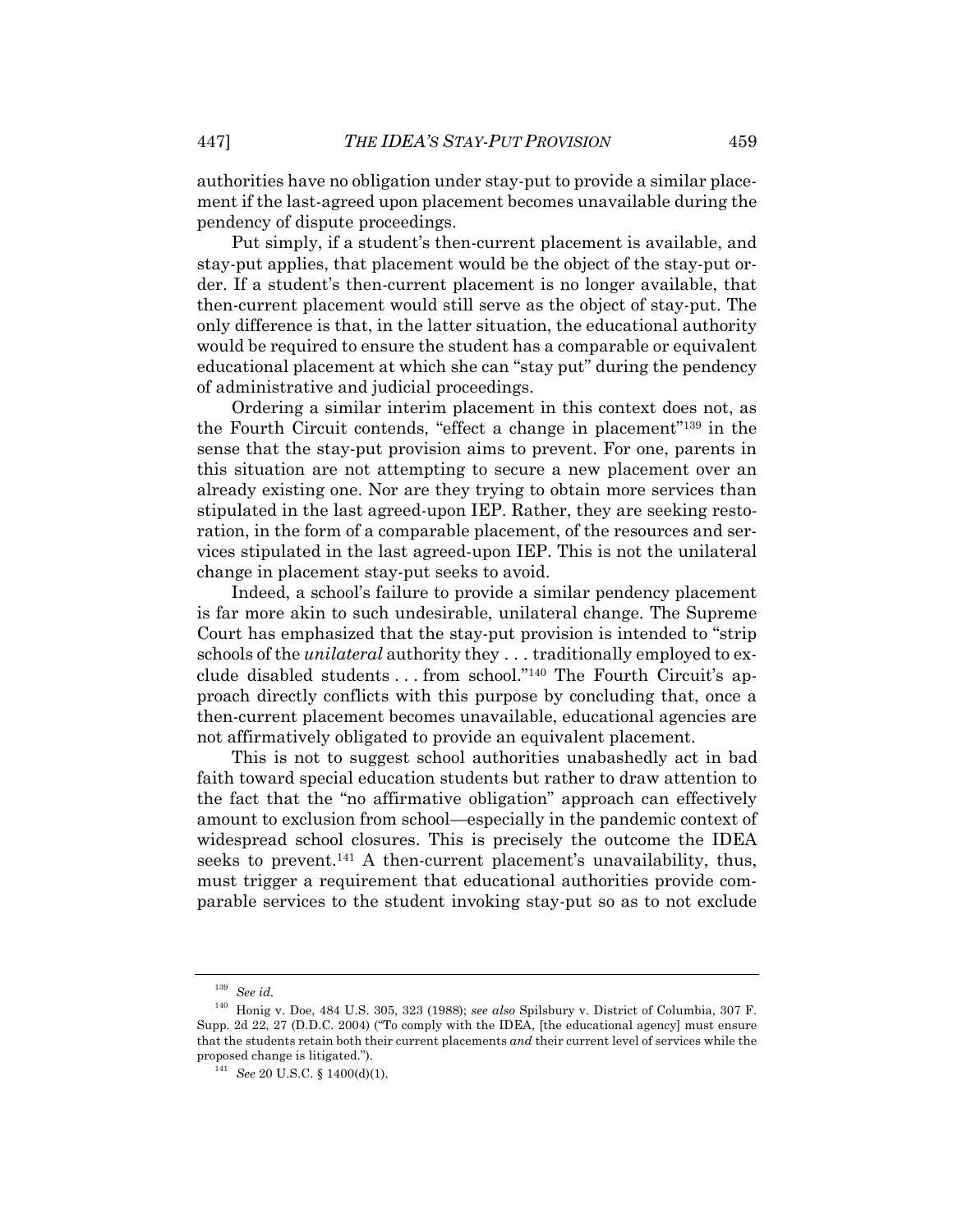authorities have no obligation under stay-put to provide a similar placement if the last-agreed upon placement becomes unavailable during the pendency of dispute proceedings.

Put simply, if a student's then-current placement is available, and stay-put applies, that placement would be the object of the stay-put order. If a student's then-current placement is no longer available, that then-current placement would still serve as the object of stay-put. The only difference is that, in the latter situation, the educational authority would be required to ensure the student has a comparable or equivalent educational placement at which she can "stay put" during the pendency of administrative and judicial proceedings.

Ordering a similar interim placement in this context does not, as the Fourth Circuit contends, "effect a change in placement"139 in the sense that the stay-put provision aims to prevent. For one, parents in this situation are not attempting to secure a new placement over an already existing one. Nor are they trying to obtain more services than stipulated in the last agreed-upon IEP. Rather, they are seeking restoration, in the form of a comparable placement, of the resources and services stipulated in the last agreed-upon IEP. This is not the unilateral change in placement stay-put seeks to avoid.

Indeed, a school's failure to provide a similar pendency placement is far more akin to such undesirable, unilateral change. The Supreme Court has emphasized that the stay-put provision is intended to "strip schools of the *unilateral* authority they . . . traditionally employed to exclude disabled students . . . from school."140 The Fourth Circuit's approach directly conflicts with this purpose by concluding that, once a then-current placement becomes unavailable, educational agencies are not affirmatively obligated to provide an equivalent placement.

This is not to suggest school authorities unabashedly act in bad faith toward special education students but rather to draw attention to the fact that the "no affirmative obligation" approach can effectively amount to exclusion from school—especially in the pandemic context of widespread school closures. This is precisely the outcome the IDEA seeks to prevent.<sup>141</sup> A then-current placement's unavailability, thus, must trigger a requirement that educational authorities provide comparable services to the student invoking stay-put so as to not exclude

<sup>139</sup> *See id.*

<sup>140</sup> Honig v. Doe, 484 U.S. 305, 323 (1988); *see also* Spilsbury v. District of Columbia, 307 F. Supp. 2d 22, 27 (D.D.C. 2004) ("To comply with the IDEA, [the educational agency] must ensure that the students retain both their current placements *and* their current level of services while the proposed change is litigated.").

<sup>141</sup> *See* 20 U.S.C. § 1400(d)(1).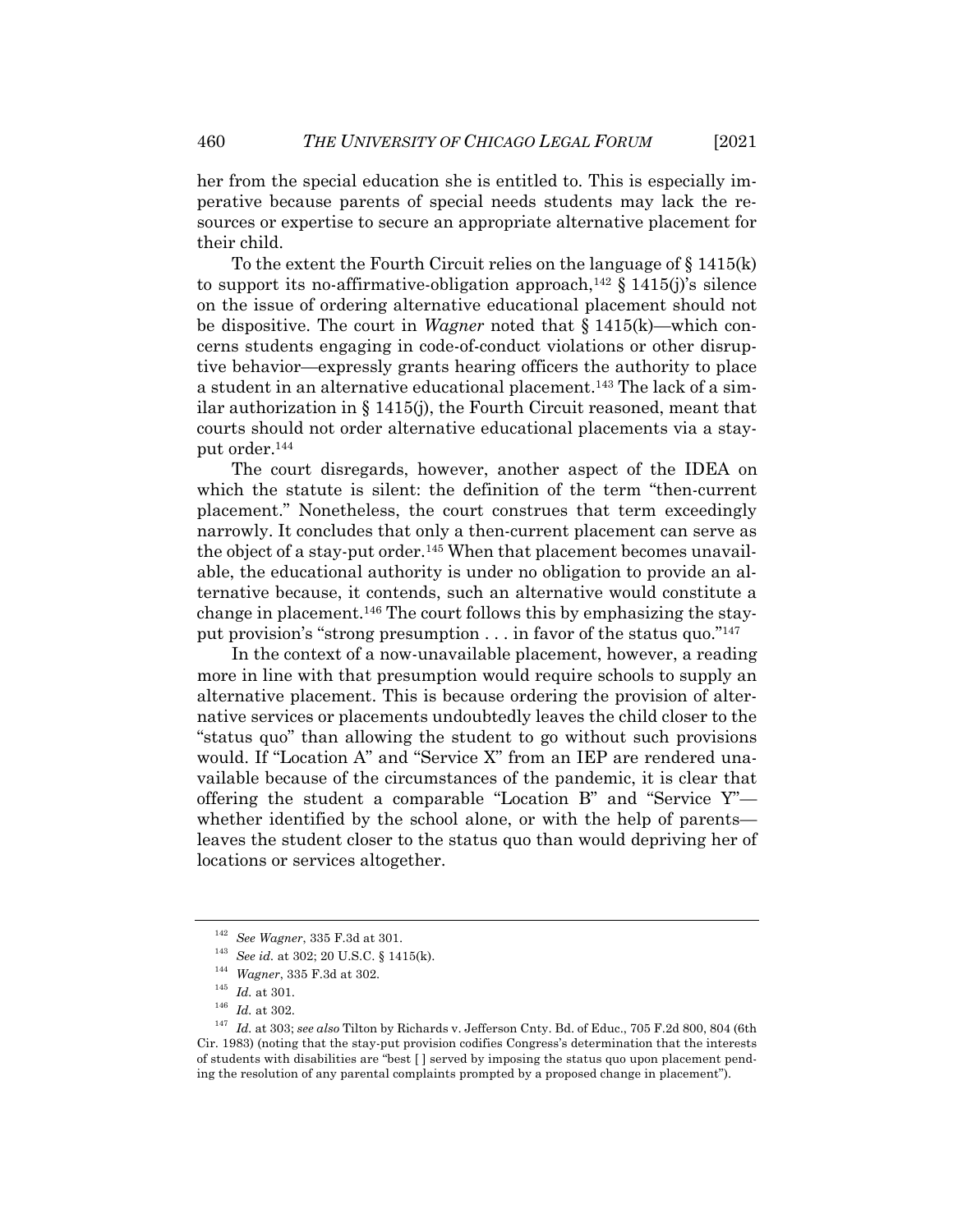her from the special education she is entitled to. This is especially imperative because parents of special needs students may lack the resources or expertise to secure an appropriate alternative placement for their child.

To the extent the Fourth Circuit relies on the language of  $\S 1415(k)$ to support its no-affirmative-obligation approach,<sup>142</sup>  $\S$  1415(j)'s silence on the issue of ordering alternative educational placement should not be dispositive. The court in *Wagner* noted that § 1415(k)—which concerns students engaging in code-of-conduct violations or other disruptive behavior—expressly grants hearing officers the authority to place a student in an alternative educational placement.143 The lack of a similar authorization in § 1415(j), the Fourth Circuit reasoned, meant that courts should not order alternative educational placements via a stayput order.144

The court disregards, however, another aspect of the IDEA on which the statute is silent: the definition of the term "then-current placement." Nonetheless, the court construes that term exceedingly narrowly. It concludes that only a then-current placement can serve as the object of a stay-put order.<sup>145</sup> When that placement becomes unavailable, the educational authority is under no obligation to provide an alternative because, it contends, such an alternative would constitute a change in placement.146 The court follows this by emphasizing the stayput provision's "strong presumption . . . in favor of the status quo."147

In the context of a now-unavailable placement, however, a reading more in line with that presumption would require schools to supply an alternative placement. This is because ordering the provision of alternative services or placements undoubtedly leaves the child closer to the "status quo" than allowing the student to go without such provisions would. If "Location A" and "Service X" from an IEP are rendered unavailable because of the circumstances of the pandemic, it is clear that offering the student a comparable "Location B" and "Service Y" whether identified by the school alone, or with the help of parents leaves the student closer to the status quo than would depriving her of locations or services altogether.

<sup>142</sup> *See Wagner*, 335 F.3d at 301.

<sup>143</sup> *See id.* at 302; 20 U.S.C. § 1415(k).

<sup>144</sup> *Wagner*, 335 F.3d at 302.

<sup>145</sup> *Id.* at 301.

 $^{146}\,$   $Id.\,$  at 302.

<sup>147</sup> *Id.* at 303; *see also* Tilton by Richards v. Jefferson Cnty. Bd. of Educ., 705 F.2d 800, 804 (6th Cir. 1983) (noting that the stay-put provision codifies Congress's determination that the interests of students with disabilities are "best [ ] served by imposing the status quo upon placement pending the resolution of any parental complaints prompted by a proposed change in placement").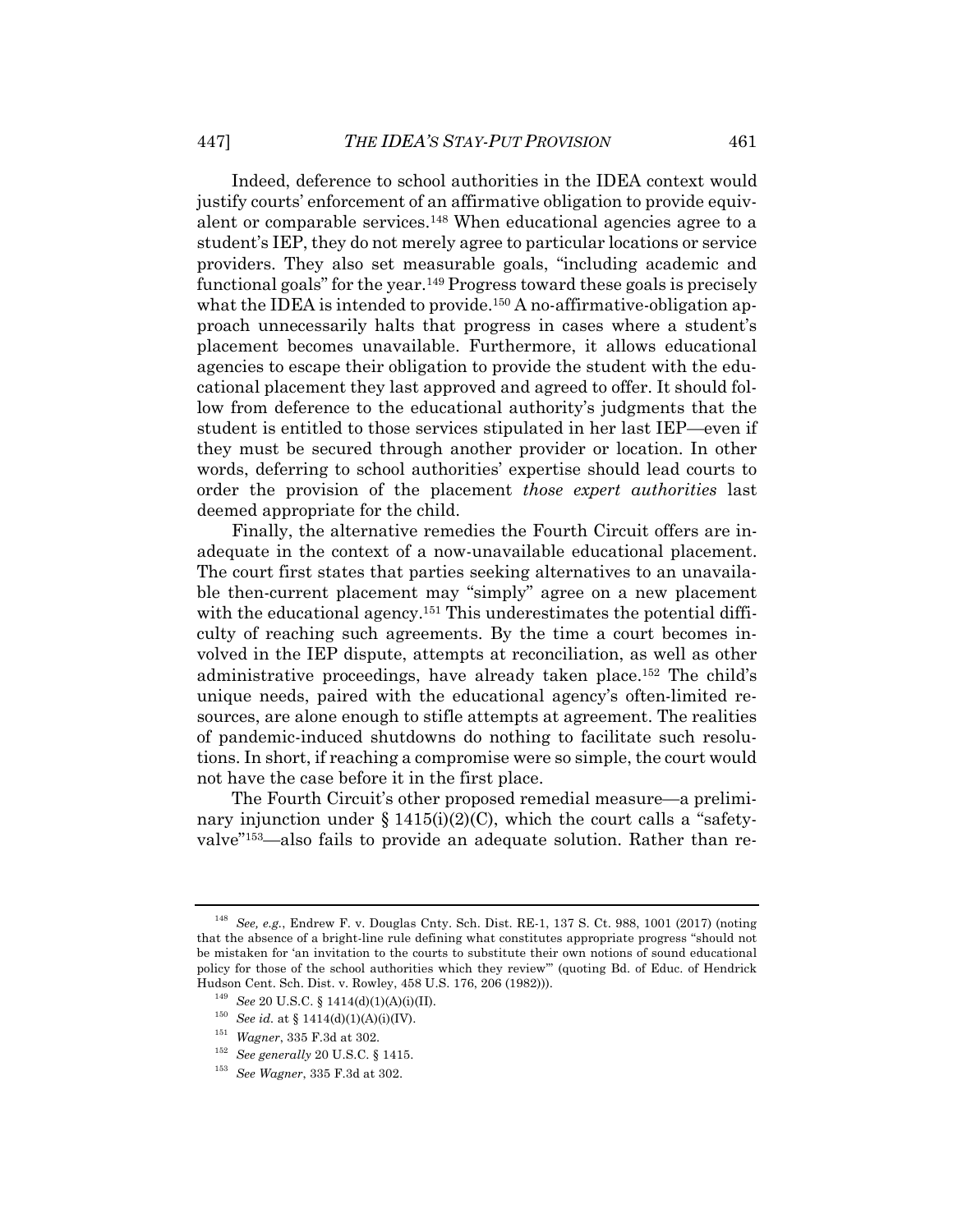Indeed, deference to school authorities in the IDEA context would justify courts' enforcement of an affirmative obligation to provide equivalent or comparable services.148 When educational agencies agree to a student's IEP, they do not merely agree to particular locations or service providers. They also set measurable goals, "including academic and functional goals" for the year.149 Progress toward these goals is precisely what the IDEA is intended to provide.<sup>150</sup> A no-affirmative-obligation approach unnecessarily halts that progress in cases where a student's placement becomes unavailable. Furthermore, it allows educational agencies to escape their obligation to provide the student with the educational placement they last approved and agreed to offer. It should follow from deference to the educational authority's judgments that the student is entitled to those services stipulated in her last IEP—even if they must be secured through another provider or location. In other words, deferring to school authorities' expertise should lead courts to order the provision of the placement *those expert authorities* last deemed appropriate for the child.

Finally, the alternative remedies the Fourth Circuit offers are inadequate in the context of a now-unavailable educational placement. The court first states that parties seeking alternatives to an unavailable then-current placement may "simply" agree on a new placement with the educational agency.<sup>151</sup> This underestimates the potential difficulty of reaching such agreements. By the time a court becomes involved in the IEP dispute, attempts at reconciliation, as well as other administrative proceedings, have already taken place.152 The child's unique needs, paired with the educational agency's often-limited resources, are alone enough to stifle attempts at agreement. The realities of pandemic-induced shutdowns do nothing to facilitate such resolutions. In short, if reaching a compromise were so simple, the court would not have the case before it in the first place.

The Fourth Circuit's other proposed remedial measure—a preliminary injunction under  $\S 1415(i)(2)(C)$ , which the court calls a "safetyvalve"153—also fails to provide an adequate solution. Rather than re-

<sup>148</sup> *See, e.g.*, Endrew F. v. Douglas Cnty. Sch. Dist. RE-1, 137 S. Ct. 988, 1001 (2017) (noting that the absence of a bright-line rule defining what constitutes appropriate progress "should not be mistaken for 'an invitation to the courts to substitute their own notions of sound educational policy for those of the school authorities which they review'" (quoting Bd. of Educ. of Hendrick Hudson Cent. Sch. Dist. v. Rowley, 458 U.S. 176, 206 (1982))).

<sup>149</sup> *See* 20 U.S.C. § 1414(d)(1)(A)(i)(II).

 $^{150}$  *See id.* at § 1414(d)(1)(A)(i)(IV).

<sup>151</sup> *Wagner*, 335 F.3d at 302.

<sup>152</sup> *See generally* 20 U.S.C. § 1415.

<sup>153</sup> *See Wagner*, 335 F.3d at 302.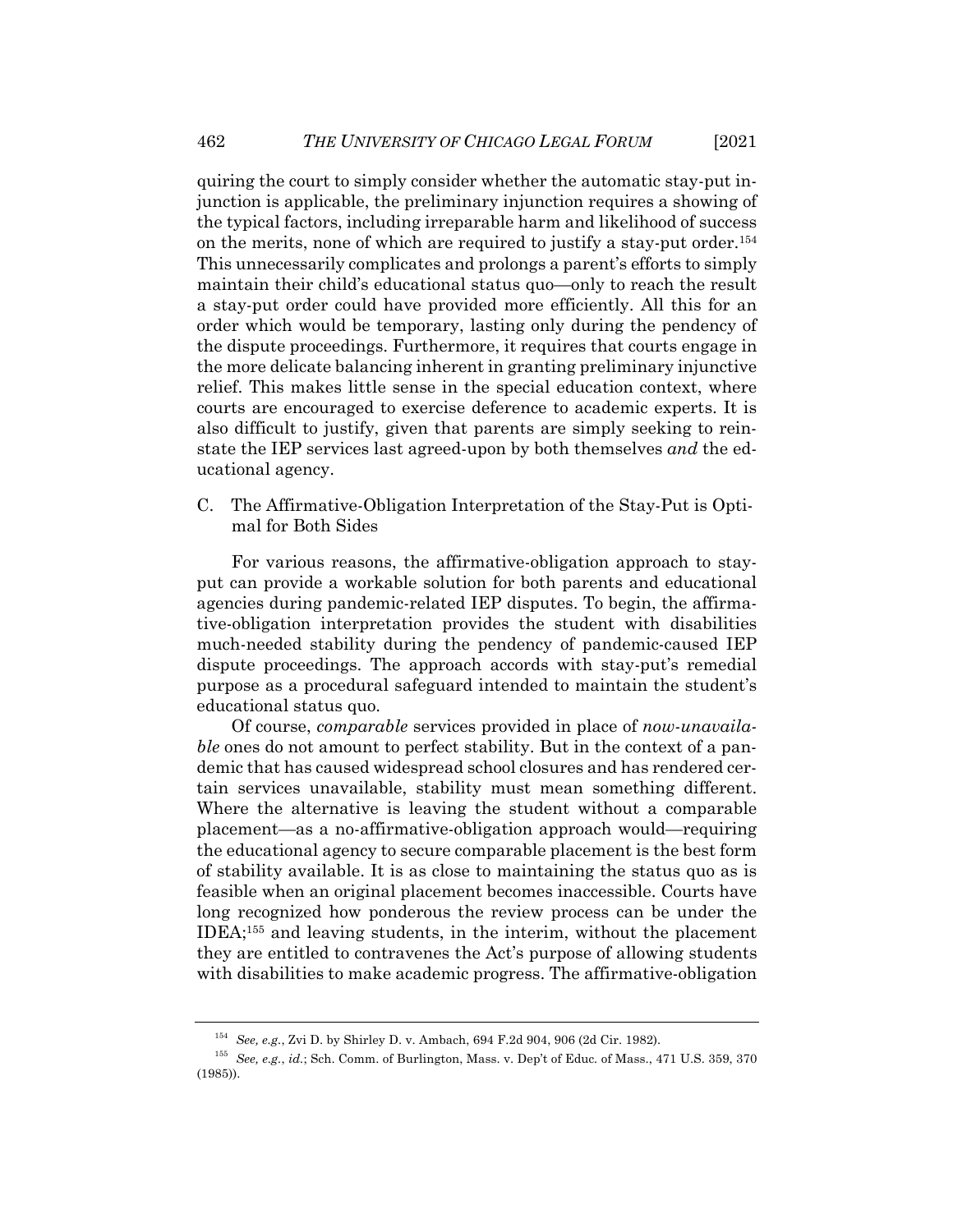quiring the court to simply consider whether the automatic stay-put injunction is applicable, the preliminary injunction requires a showing of the typical factors, including irreparable harm and likelihood of success on the merits, none of which are required to justify a stay-put order.154 This unnecessarily complicates and prolongs a parent's efforts to simply maintain their child's educational status quo—only to reach the result a stay-put order could have provided more efficiently. All this for an order which would be temporary, lasting only during the pendency of the dispute proceedings. Furthermore, it requires that courts engage in the more delicate balancing inherent in granting preliminary injunctive relief. This makes little sense in the special education context, where courts are encouraged to exercise deference to academic experts. It is also difficult to justify, given that parents are simply seeking to reinstate the IEP services last agreed-upon by both themselves *and* the educational agency.

C. The Affirmative-Obligation Interpretation of the Stay-Put is Optimal for Both Sides

For various reasons, the affirmative-obligation approach to stayput can provide a workable solution for both parents and educational agencies during pandemic-related IEP disputes. To begin, the affirmative-obligation interpretation provides the student with disabilities much-needed stability during the pendency of pandemic-caused IEP dispute proceedings. The approach accords with stay-put's remedial purpose as a procedural safeguard intended to maintain the student's educational status quo.

Of course, *comparable* services provided in place of *now-unavailable* ones do not amount to perfect stability. But in the context of a pandemic that has caused widespread school closures and has rendered certain services unavailable, stability must mean something different. Where the alternative is leaving the student without a comparable placement—as a no-affirmative-obligation approach would—requiring the educational agency to secure comparable placement is the best form of stability available. It is as close to maintaining the status quo as is feasible when an original placement becomes inaccessible. Courts have long recognized how ponderous the review process can be under the IDEA;155 and leaving students, in the interim, without the placement they are entitled to contravenes the Act's purpose of allowing students with disabilities to make academic progress. The affirmative-obligation

<sup>154</sup> *See, e.g.*, Zvi D. by Shirley D. v. Ambach, 694 F.2d 904, 906 (2d Cir. 1982).

<sup>155</sup> *See, e.g.*, *id.*; Sch. Comm. of Burlington, Mass. v. Dep't of Educ*.* of Mass., 471 U.S. 359, 370 (1985)).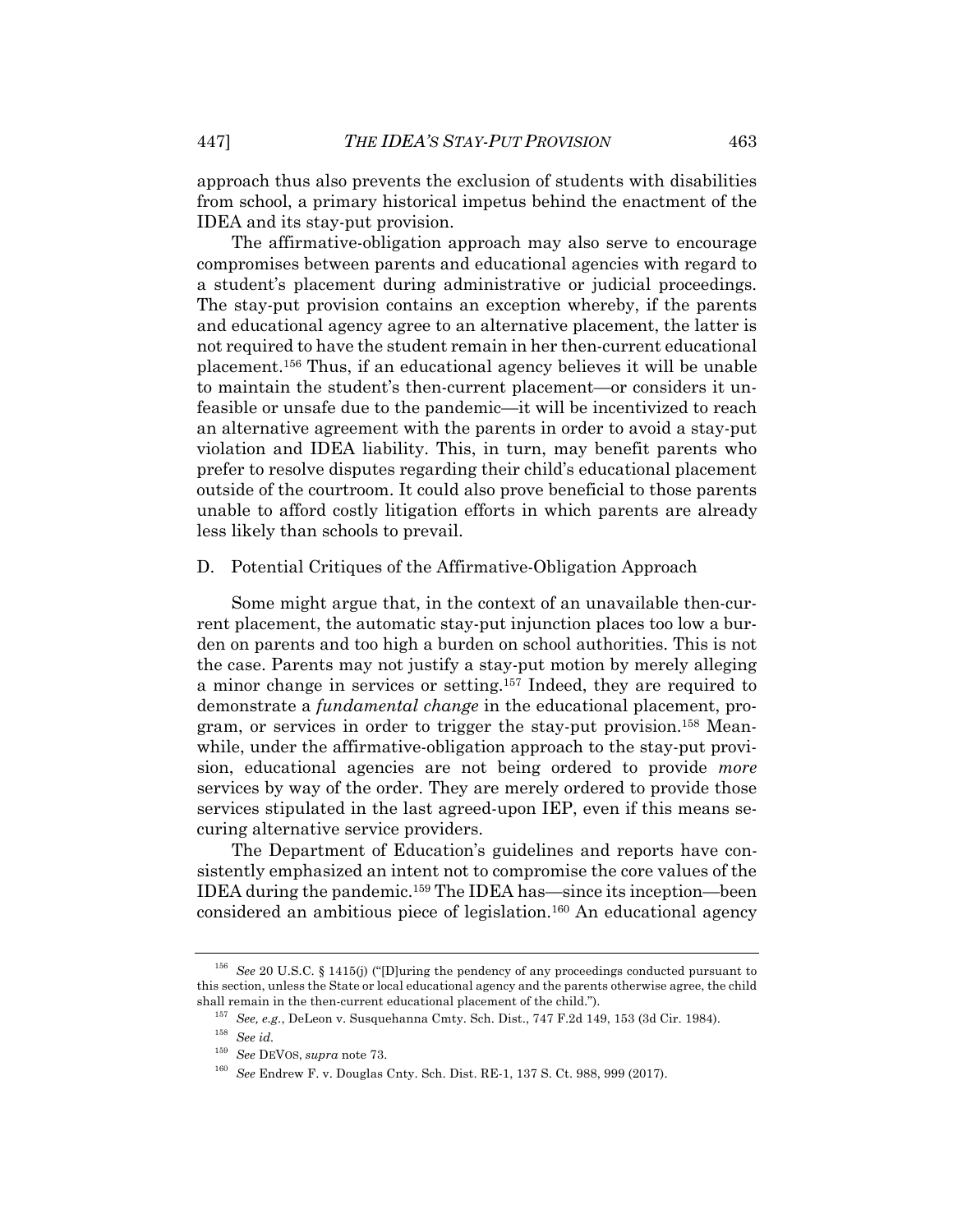approach thus also prevents the exclusion of students with disabilities from school, a primary historical impetus behind the enactment of the IDEA and its stay-put provision.

The affirmative-obligation approach may also serve to encourage compromises between parents and educational agencies with regard to a student's placement during administrative or judicial proceedings. The stay-put provision contains an exception whereby, if the parents and educational agency agree to an alternative placement, the latter is not required to have the student remain in her then-current educational placement.156 Thus, if an educational agency believes it will be unable to maintain the student's then-current placement—or considers it unfeasible or unsafe due to the pandemic—it will be incentivized to reach an alternative agreement with the parents in order to avoid a stay-put violation and IDEA liability. This, in turn, may benefit parents who prefer to resolve disputes regarding their child's educational placement outside of the courtroom. It could also prove beneficial to those parents unable to afford costly litigation efforts in which parents are already less likely than schools to prevail.

#### D. Potential Critiques of the Affirmative-Obligation Approach

Some might argue that, in the context of an unavailable then-current placement, the automatic stay-put injunction places too low a burden on parents and too high a burden on school authorities. This is not the case. Parents may not justify a stay-put motion by merely alleging a minor change in services or setting.157 Indeed, they are required to demonstrate a *fundamental change* in the educational placement, program, or services in order to trigger the stay-put provision.158 Meanwhile, under the affirmative-obligation approach to the stay-put provision, educational agencies are not being ordered to provide *more* services by way of the order. They are merely ordered to provide those services stipulated in the last agreed-upon IEP, even if this means securing alternative service providers.

The Department of Education's guidelines and reports have consistently emphasized an intent not to compromise the core values of the IDEA during the pandemic.159 The IDEA has—since its inception—been considered an ambitious piece of legislation.160 An educational agency

<sup>156</sup> *See* 20 U.S.C. § 1415(j) ("[D]uring the pendency of any proceedings conducted pursuant to this section, unless the State or local educational agency and the parents otherwise agree, the child shall remain in the then-current educational placement of the child.").

<sup>157</sup> *See, e.g.*, DeLeon v. Susquehanna Cmty. Sch. Dist., 747 F.2d 149, 153 (3d Cir. 1984).

<sup>158</sup> *See id.*

<sup>159</sup> *See* DEVOS, *supra* note 73.

<sup>160</sup> *See* Endrew F. v. Douglas Cnty. Sch. Dist. RE-1, 137 S. Ct. 988, 999 (2017).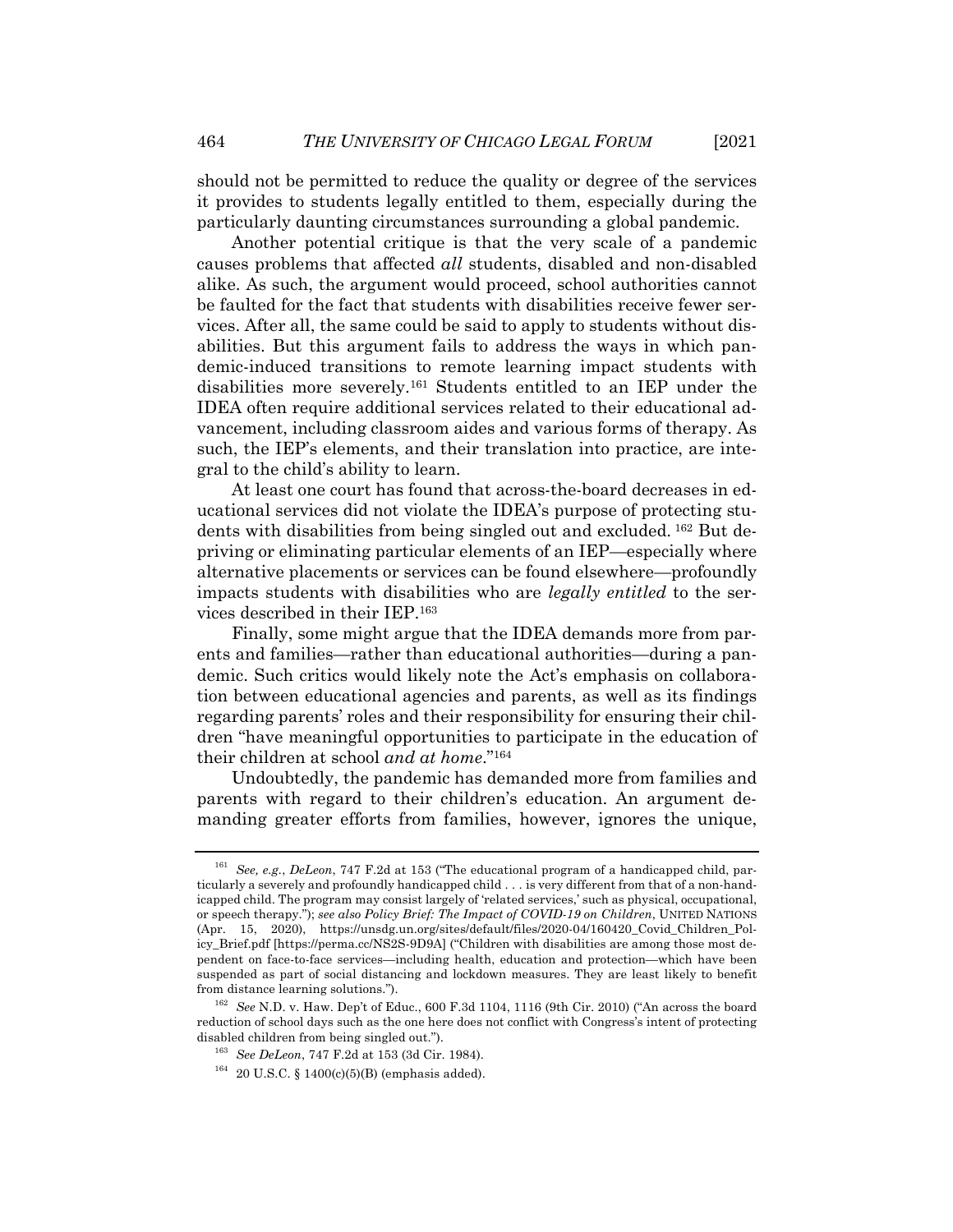should not be permitted to reduce the quality or degree of the services it provides to students legally entitled to them, especially during the particularly daunting circumstances surrounding a global pandemic.

Another potential critique is that the very scale of a pandemic causes problems that affected *all* students, disabled and non-disabled alike. As such, the argument would proceed, school authorities cannot be faulted for the fact that students with disabilities receive fewer services. After all, the same could be said to apply to students without disabilities. But this argument fails to address the ways in which pandemic-induced transitions to remote learning impact students with disabilities more severely.161 Students entitled to an IEP under the IDEA often require additional services related to their educational advancement, including classroom aides and various forms of therapy. As such, the IEP's elements, and their translation into practice, are integral to the child's ability to learn.

At least one court has found that across-the-board decreases in educational services did not violate the IDEA's purpose of protecting students with disabilities from being singled out and excluded. <sup>162</sup> But depriving or eliminating particular elements of an IEP—especially where alternative placements or services can be found elsewhere—profoundly impacts students with disabilities who are *legally entitled* to the services described in their IEP.163

Finally, some might argue that the IDEA demands more from parents and families—rather than educational authorities—during a pandemic. Such critics would likely note the Act's emphasis on collaboration between educational agencies and parents, as well as its findings regarding parents' roles and their responsibility for ensuring their children "have meaningful opportunities to participate in the education of their children at school *and at home*."164

Undoubtedly, the pandemic has demanded more from families and parents with regard to their children's education. An argument demanding greater efforts from families, however, ignores the unique,

<sup>161</sup> *See, e.g.*, *DeLeon*, 747 F.2d at 153 ("The educational program of a handicapped child, particularly a severely and profoundly handicapped child . . . is very different from that of a non-handicapped child. The program may consist largely of 'related services,' such as physical, occupational, or speech therapy."); *see also Policy Brief: The Impact of COVID-19 on Children*, UNITED NATIONS (Apr. 15, 2020), https://unsdg.un.org/sites/default/files/2020-04/160420\_Covid\_Children\_Policy\_Brief.pdf [https://perma.cc/NS2S-9D9A] ("Children with disabilities are among those most dependent on face-to-face services—including health, education and protection—which have been suspended as part of social distancing and lockdown measures. They are least likely to benefit from distance learning solutions.").

<sup>162</sup> *See* N.D. v. Haw. Dep't of Educ., 600 F.3d 1104, 1116 (9th Cir. 2010) ("An across the board reduction of school days such as the one here does not conflict with Congress's intent of protecting disabled children from being singled out.").

<sup>163</sup> *See DeLeon*, 747 F.2d at 153 (3d Cir. 1984).

 $164$  20 U.S.C. § 1400(c)(5)(B) (emphasis added).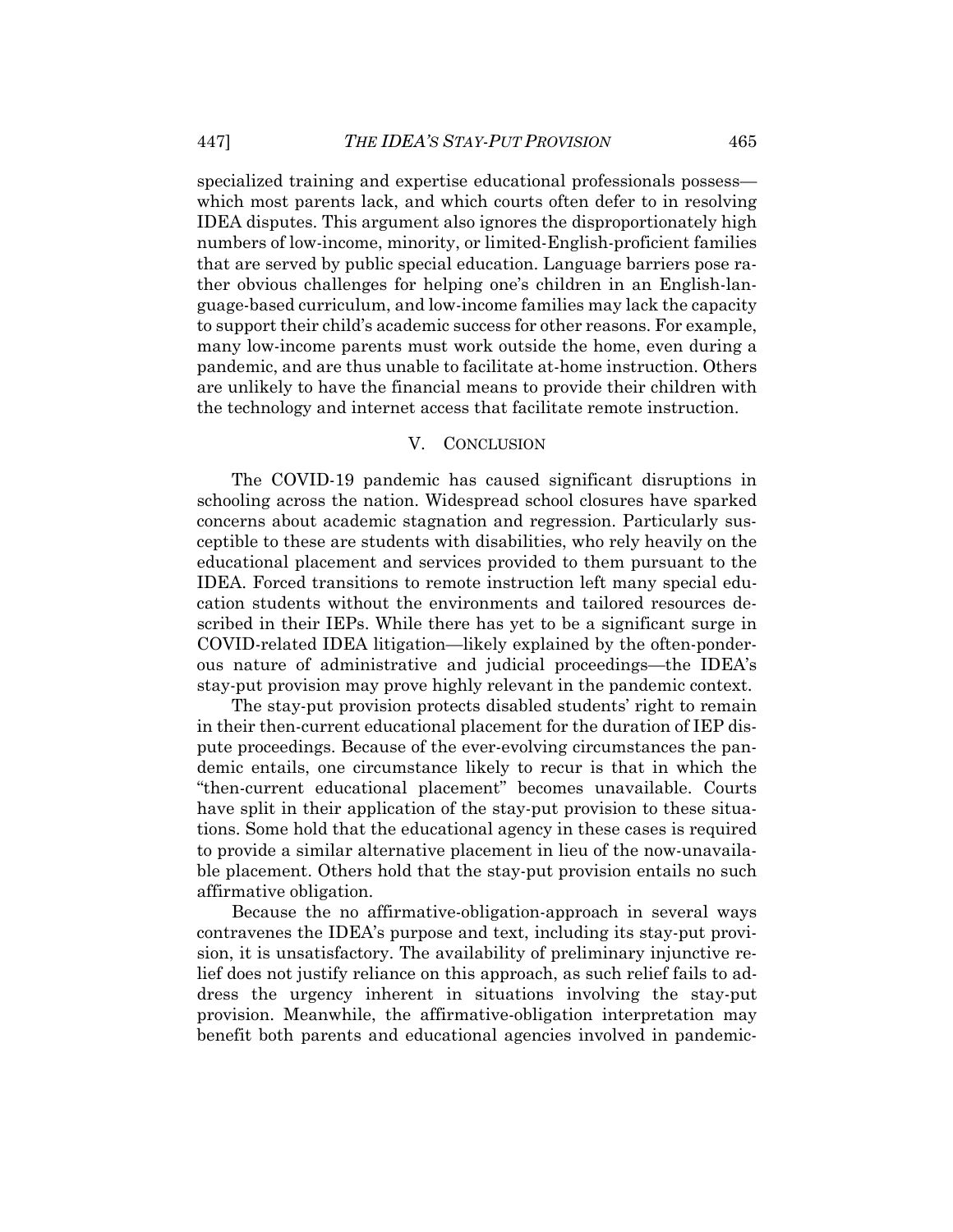specialized training and expertise educational professionals possess which most parents lack, and which courts often defer to in resolving IDEA disputes. This argument also ignores the disproportionately high numbers of low-income, minority, or limited-English-proficient families that are served by public special education. Language barriers pose rather obvious challenges for helping one's children in an English-language-based curriculum, and low-income families may lack the capacity to support their child's academic success for other reasons. For example, many low-income parents must work outside the home, even during a pandemic, and are thus unable to facilitate at-home instruction. Others are unlikely to have the financial means to provide their children with the technology and internet access that facilitate remote instruction.

#### V. CONCLUSION

The COVID-19 pandemic has caused significant disruptions in schooling across the nation. Widespread school closures have sparked concerns about academic stagnation and regression. Particularly susceptible to these are students with disabilities, who rely heavily on the educational placement and services provided to them pursuant to the IDEA. Forced transitions to remote instruction left many special education students without the environments and tailored resources described in their IEPs. While there has yet to be a significant surge in COVID-related IDEA litigation—likely explained by the often-ponderous nature of administrative and judicial proceedings—the IDEA's stay-put provision may prove highly relevant in the pandemic context.

The stay-put provision protects disabled students' right to remain in their then-current educational placement for the duration of IEP dispute proceedings. Because of the ever-evolving circumstances the pandemic entails, one circumstance likely to recur is that in which the "then-current educational placement" becomes unavailable. Courts have split in their application of the stay-put provision to these situations. Some hold that the educational agency in these cases is required to provide a similar alternative placement in lieu of the now-unavailable placement. Others hold that the stay-put provision entails no such affirmative obligation.

Because the no affirmative-obligation-approach in several ways contravenes the IDEA's purpose and text, including its stay-put provision, it is unsatisfactory. The availability of preliminary injunctive relief does not justify reliance on this approach, as such relief fails to address the urgency inherent in situations involving the stay-put provision. Meanwhile, the affirmative-obligation interpretation may benefit both parents and educational agencies involved in pandemic-